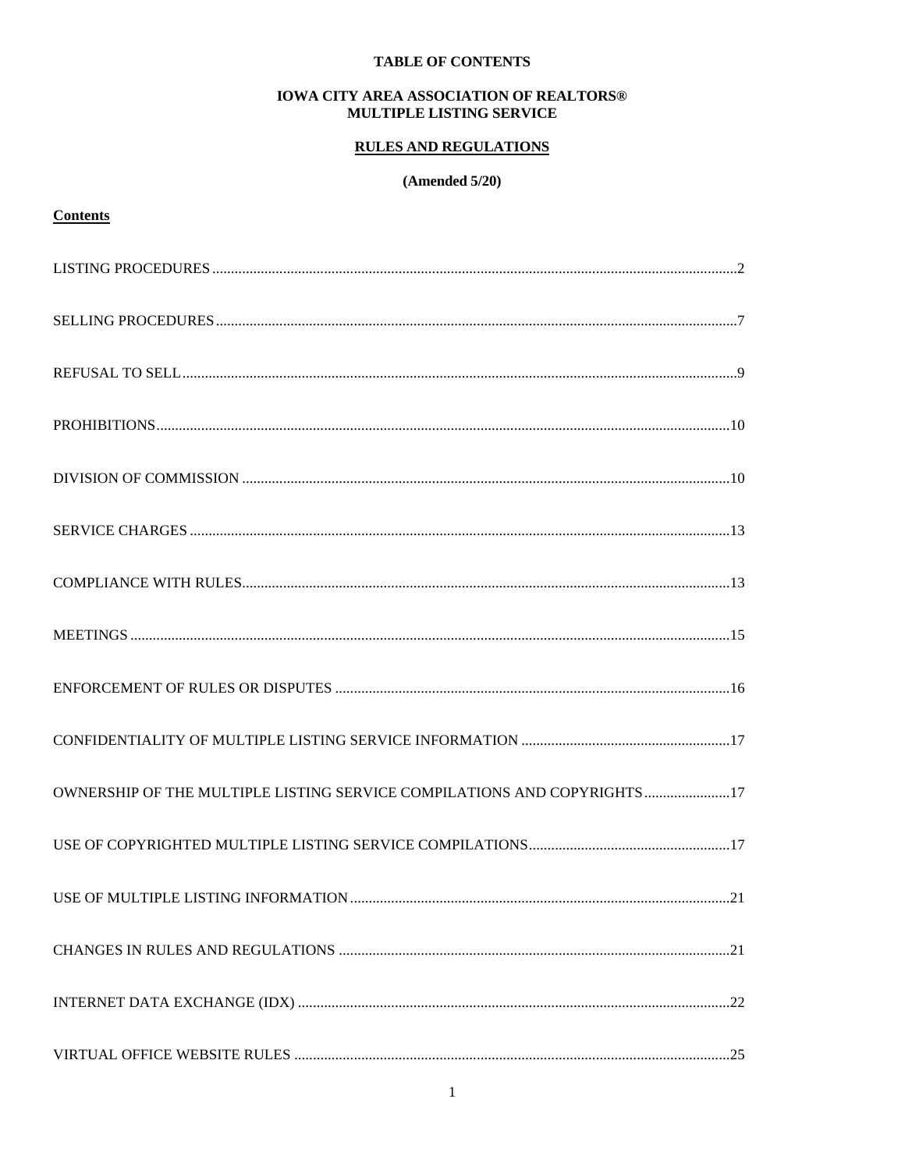## **TABLE OF CONTENTS**

### **IOWA CITY AREA ASSOCIATION OF REALTORS®** MULTIPLE LISTING SERVICE

# **RULES AND REGULATIONS**

## $(Amended 5/20)$

# **Contents**

| OWNERSHIP OF THE MULTIPLE LISTING SERVICE COMPILATIONS AND COPYRIGHTS 17 |  |
|--------------------------------------------------------------------------|--|
|                                                                          |  |
|                                                                          |  |
|                                                                          |  |
|                                                                          |  |
|                                                                          |  |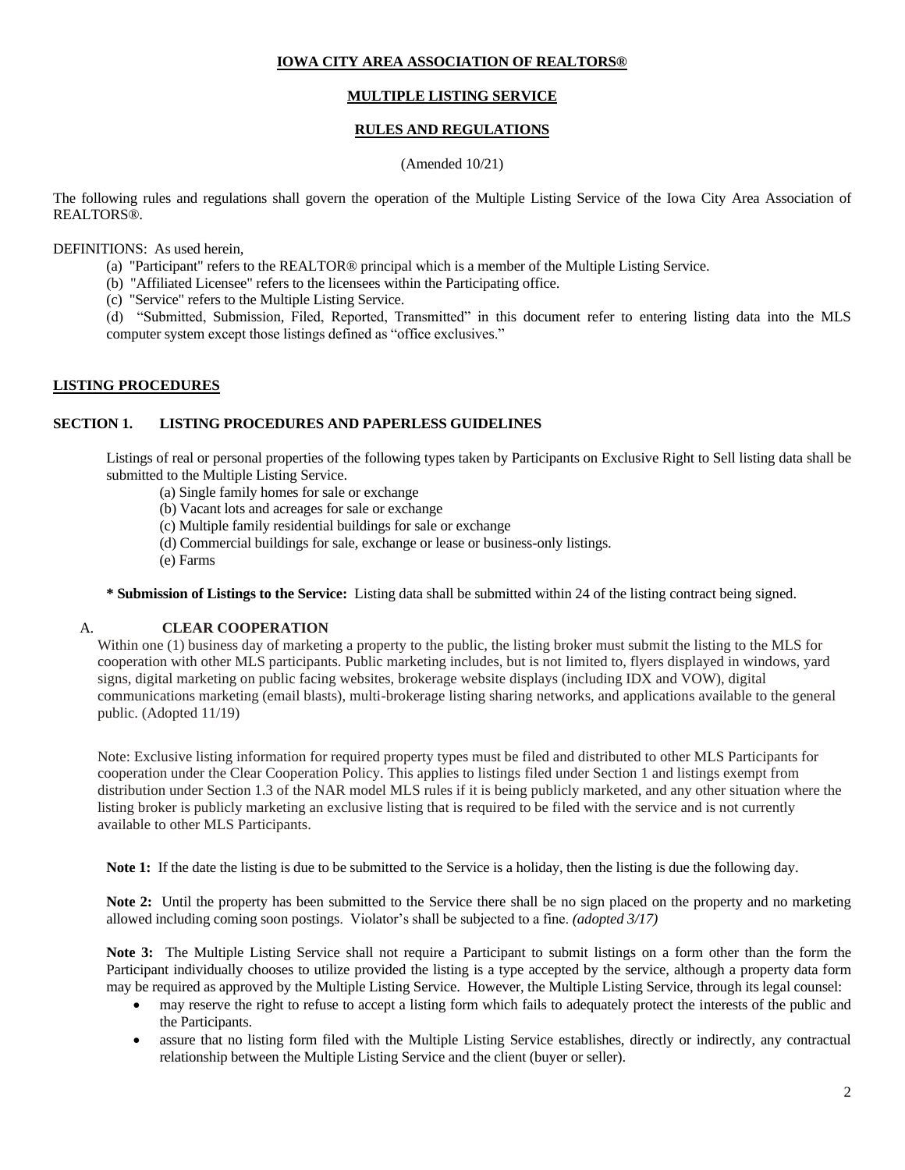## **IOWA CITY AREA ASSOCIATION OF REALTORS®**

## **MULTIPLE LISTING SERVICE**

## **RULES AND REGULATIONS**

### (Amended 10/21)

The following rules and regulations shall govern the operation of the Multiple Listing Service of the Iowa City Area Association of REALTORS®.

DEFINITIONS: As used herein,

- (a) "Participant" refers to the REALTOR® principal which is a member of the Multiple Listing Service.
- (b) "Affiliated Licensee" refers to the licensees within the Participating office.
- (c) "Service" refers to the Multiple Listing Service.
- (d) "Submitted, Submission, Filed, Reported, Transmitted" in this document refer to entering listing data into the MLS computer system except those listings defined as "office exclusives."

### <span id="page-1-0"></span>**LISTING PROCEDURES**

## **SECTION 1. LISTING PROCEDURES AND PAPERLESS GUIDELINES**

Listings of real or personal properties of the following types taken by Participants on Exclusive Right to Sell listing data shall be submitted to the Multiple Listing Service.

- (a) Single family homes for sale or exchange
- (b) Vacant lots and acreages for sale or exchange
- (c) Multiple family residential buildings for sale or exchange
- (d) Commercial buildings for sale, exchange or lease or business-only listings.
- (e) Farms

**\* Submission of Listings to the Service:** Listing data shall be submitted within 24 of the listing contract being signed.

### A. **CLEAR COOPERATION**

Within one (1) business day of marketing a property to the public, the listing broker must submit the listing to the MLS for cooperation with other MLS participants. Public marketing includes, but is not limited to, flyers displayed in windows, yard signs, digital marketing on public facing websites, brokerage website displays (including IDX and VOW), digital communications marketing (email blasts), multi-brokerage listing sharing networks, and applications available to the general public. (Adopted 11/19)

Note: Exclusive listing information for required property types must be filed and distributed to other MLS Participants for cooperation under the Clear Cooperation Policy. This applies to listings filed under Section 1 and listings exempt from distribution under Section 1.3 of the NAR model MLS rules if it is being publicly marketed, and any other situation where the listing broker is publicly marketing an exclusive listing that is required to be filed with the service and is not currently available to other MLS Participants.

Note 1: If the date the listing is due to be submitted to the Service is a holiday, then the listing is due the following day.

**Note 2:** Until the property has been submitted to the Service there shall be no sign placed on the property and no marketing allowed including coming soon postings. Violator's shall be subjected to a fine. *(adopted 3/17)*

**Note 3:** The Multiple Listing Service shall not require a Participant to submit listings on a form other than the form the Participant individually chooses to utilize provided the listing is a type accepted by the service, although a property data form may be required as approved by the Multiple Listing Service. However, the Multiple Listing Service, through its legal counsel:

- may reserve the right to refuse to accept a listing form which fails to adequately protect the interests of the public and the Participants.
- assure that no listing form filed with the Multiple Listing Service establishes, directly or indirectly, any contractual relationship between the Multiple Listing Service and the client (buyer or seller).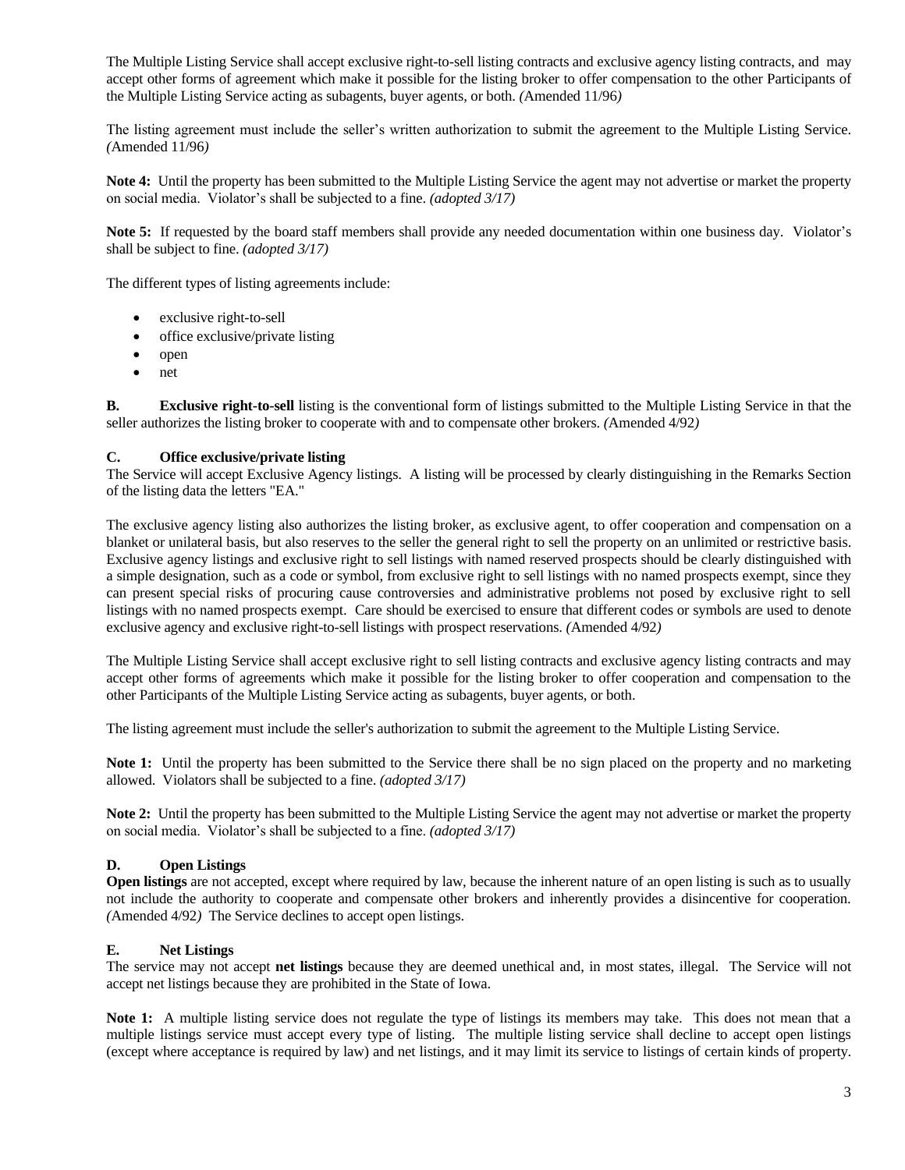The Multiple Listing Service shall accept exclusive right-to-sell listing contracts and exclusive agency listing contracts, and may accept other forms of agreement which make it possible for the listing broker to offer compensation to the other Participants of the Multiple Listing Service acting as subagents, buyer agents, or both. *(*Amended 11/96*)*

The listing agreement must include the seller's written authorization to submit the agreement to the Multiple Listing Service. *(*Amended 11/96*)*

**Note 4:** Until the property has been submitted to the Multiple Listing Service the agent may not advertise or market the property on social media. Violator's shall be subjected to a fine. *(adopted 3/17)*

**Note 5:** If requested by the board staff members shall provide any needed documentation within one business day. Violator's shall be subject to fine. *(adopted 3/17)*

The different types of listing agreements include:

- exclusive right-to-sell
- office exclusive/private listing
- open
- net

**B. Exclusive right-to-sell** listing is the conventional form of listings submitted to the Multiple Listing Service in that the seller authorizes the listing broker to cooperate with and to compensate other brokers. *(*Amended 4/92*)*

### **C. Office exclusive/private listing**

The Service will accept Exclusive Agency listings. A listing will be processed by clearly distinguishing in the Remarks Section of the listing data the letters "EA."

The exclusive agency listing also authorizes the listing broker, as exclusive agent, to offer cooperation and compensation on a blanket or unilateral basis, but also reserves to the seller the general right to sell the property on an unlimited or restrictive basis. Exclusive agency listings and exclusive right to sell listings with named reserved prospects should be clearly distinguished with a simple designation, such as a code or symbol, from exclusive right to sell listings with no named prospects exempt, since they can present special risks of procuring cause controversies and administrative problems not posed by exclusive right to sell listings with no named prospects exempt. Care should be exercised to ensure that different codes or symbols are used to denote exclusive agency and exclusive right-to-sell listings with prospect reservations. *(*Amended 4/92*)*

The Multiple Listing Service shall accept exclusive right to sell listing contracts and exclusive agency listing contracts and may accept other forms of agreements which make it possible for the listing broker to offer cooperation and compensation to the other Participants of the Multiple Listing Service acting as subagents, buyer agents, or both.

The listing agreement must include the seller's authorization to submit the agreement to the Multiple Listing Service.

Note 1: Until the property has been submitted to the Service there shall be no sign placed on the property and no marketing allowed. Violators shall be subjected to a fine. *(adopted 3/17)*

**Note 2:** Until the property has been submitted to the Multiple Listing Service the agent may not advertise or market the property on social media. Violator's shall be subjected to a fine. *(adopted 3/17)*

### **D. Open Listings**

**Open listings** are not accepted, except where required by law, because the inherent nature of an open listing is such as to usually not include the authority to cooperate and compensate other brokers and inherently provides a disincentive for cooperation. *(*Amended 4/92*)* The Service declines to accept open listings.

### **E. Net Listings**

The service may not accept **net listings** because they are deemed unethical and, in most states, illegal. The Service will not accept net listings because they are prohibited in the State of Iowa.

**Note 1:** A multiple listing service does not regulate the type of listings its members may take. This does not mean that a multiple listings service must accept every type of listing. The multiple listing service shall decline to accept open listings (except where acceptance is required by law) and net listings, and it may limit its service to listings of certain kinds of property.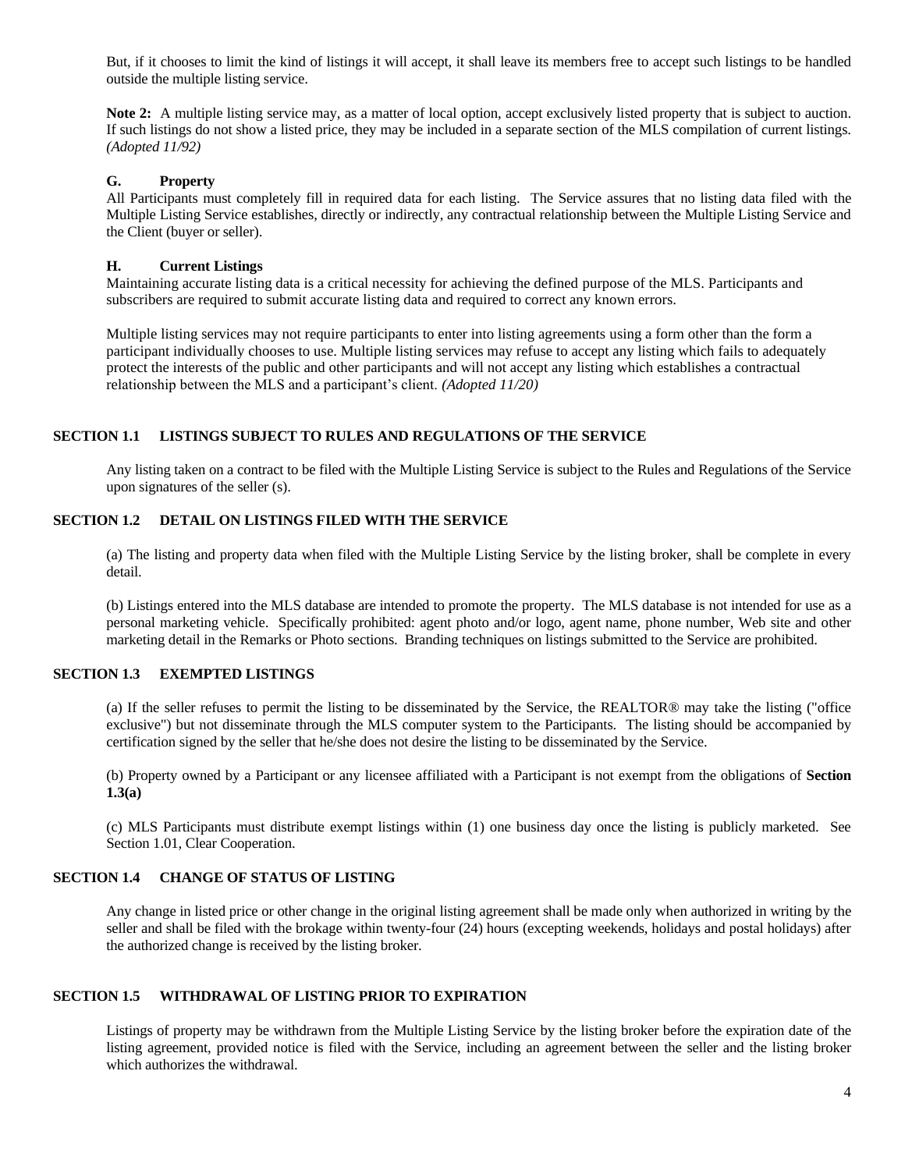But, if it chooses to limit the kind of listings it will accept, it shall leave its members free to accept such listings to be handled outside the multiple listing service.

Note 2: A multiple listing service may, as a matter of local option, accept exclusively listed property that is subject to auction. If such listings do not show a listed price, they may be included in a separate section of the MLS compilation of current listings. *(Adopted 11/92)*

### **G. Property**

All Participants must completely fill in required data for each listing. The Service assures that no listing data filed with the Multiple Listing Service establishes, directly or indirectly, any contractual relationship between the Multiple Listing Service and the Client (buyer or seller).

### **H. Current Listings**

Maintaining accurate listing data is a critical necessity for achieving the defined purpose of the MLS. Participants and subscribers are required to submit accurate listing data and required to correct any known errors.

Multiple listing services may not require participants to enter into listing agreements using a form other than the form a participant individually chooses to use. Multiple listing services may refuse to accept any listing which fails to adequately protect the interests of the public and other participants and will not accept any listing which establishes a contractual relationship between the MLS and a participant's client. *(Adopted 11/20)*

### **SECTION 1.1 LISTINGS SUBJECT TO RULES AND REGULATIONS OF THE SERVICE**

Any listing taken on a contract to be filed with the Multiple Listing Service is subject to the Rules and Regulations of the Service upon signatures of the seller (s).

## **SECTION 1.2 DETAIL ON LISTINGS FILED WITH THE SERVICE**

(a) The listing and property data when filed with the Multiple Listing Service by the listing broker, shall be complete in every detail.

(b) Listings entered into the MLS database are intended to promote the property. The MLS database is not intended for use as a personal marketing vehicle. Specifically prohibited: agent photo and/or logo, agent name, phone number, Web site and other marketing detail in the Remarks or Photo sections. Branding techniques on listings submitted to the Service are prohibited.

### **SECTION 1.3 EXEMPTED LISTINGS**

(a) If the seller refuses to permit the listing to be disseminated by the Service, the REALTOR® may take the listing ("office exclusive") but not disseminate through the MLS computer system to the Participants. The listing should be accompanied by certification signed by the seller that he/she does not desire the listing to be disseminated by the Service.

(b) Property owned by a Participant or any licensee affiliated with a Participant is not exempt from the obligations of **Section 1.3(a)**

(c) MLS Participants must distribute exempt listings within (1) one business day once the listing is publicly marketed. See Section 1.01, Clear Cooperation.

## **SECTION 1.4 CHANGE OF STATUS OF LISTING**

Any change in listed price or other change in the original listing agreement shall be made only when authorized in writing by the seller and shall be filed with the brokage within twenty-four (24) hours (excepting weekends, holidays and postal holidays) after the authorized change is received by the listing broker.

## **SECTION 1.5 WITHDRAWAL OF LISTING PRIOR TO EXPIRATION**

Listings of property may be withdrawn from the Multiple Listing Service by the listing broker before the expiration date of the listing agreement, provided notice is filed with the Service, including an agreement between the seller and the listing broker which authorizes the withdrawal.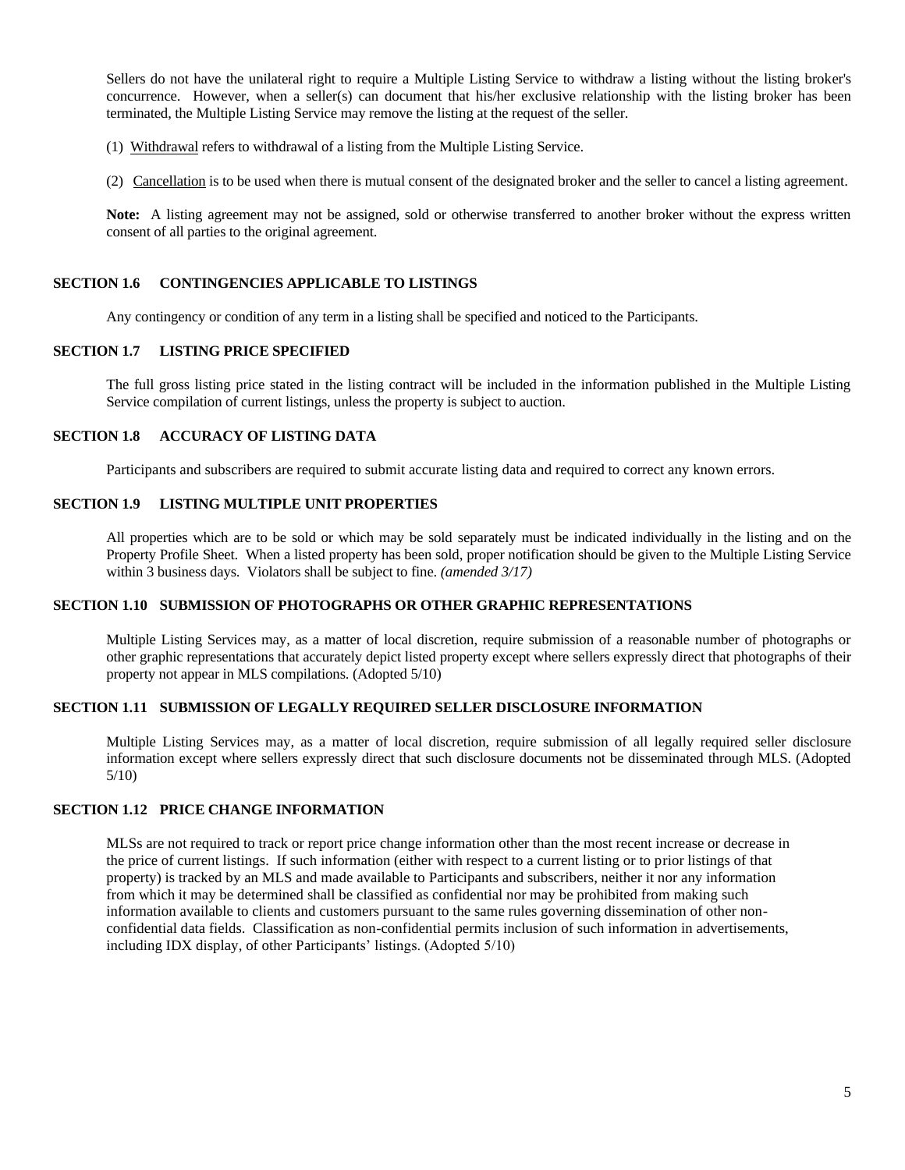Sellers do not have the unilateral right to require a Multiple Listing Service to withdraw a listing without the listing broker's concurrence. However, when a seller(s) can document that his/her exclusive relationship with the listing broker has been terminated, the Multiple Listing Service may remove the listing at the request of the seller.

(1) Withdrawal refers to withdrawal of a listing from the Multiple Listing Service.

(2) Cancellation is to be used when there is mutual consent of the designated broker and the seller to cancel a listing agreement.

**Note:** A listing agreement may not be assigned, sold or otherwise transferred to another broker without the express written consent of all parties to the original agreement.

### **SECTION 1.6 CONTINGENCIES APPLICABLE TO LISTINGS**

Any contingency or condition of any term in a listing shall be specified and noticed to the Participants.

### **SECTION 1.7 LISTING PRICE SPECIFIED**

The full gross listing price stated in the listing contract will be included in the information published in the Multiple Listing Service compilation of current listings, unless the property is subject to auction.

## **SECTION 1.8 ACCURACY OF LISTING DATA**

Participants and subscribers are required to submit accurate listing data and required to correct any known errors.

### **SECTION 1.9 LISTING MULTIPLE UNIT PROPERTIES**

All properties which are to be sold or which may be sold separately must be indicated individually in the listing and on the Property Profile Sheet. When a listed property has been sold, proper notification should be given to the Multiple Listing Service within 3 business days. Violators shall be subject to fine. *(amended 3/17)*

### **SECTION 1.10 SUBMISSION OF PHOTOGRAPHS OR OTHER GRAPHIC REPRESENTATIONS**

Multiple Listing Services may, as a matter of local discretion, require submission of a reasonable number of photographs or other graphic representations that accurately depict listed property except where sellers expressly direct that photographs of their property not appear in MLS compilations. (Adopted 5/10)

# **SECTION 1.11 SUBMISSION OF LEGALLY REQUIRED SELLER DISCLOSURE INFORMATION**

Multiple Listing Services may, as a matter of local discretion, require submission of all legally required seller disclosure information except where sellers expressly direct that such disclosure documents not be disseminated through MLS. (Adopted 5/10)

### **SECTION 1.12 PRICE CHANGE INFORMATION**

MLSs are not required to track or report price change information other than the most recent increase or decrease in the price of current listings. If such information (either with respect to a current listing or to prior listings of that property) is tracked by an MLS and made available to Participants and subscribers, neither it nor any information from which it may be determined shall be classified as confidential nor may be prohibited from making such information available to clients and customers pursuant to the same rules governing dissemination of other nonconfidential data fields. Classification as non-confidential permits inclusion of such information in advertisements, including IDX display, of other Participants' listings. (Adopted 5/10)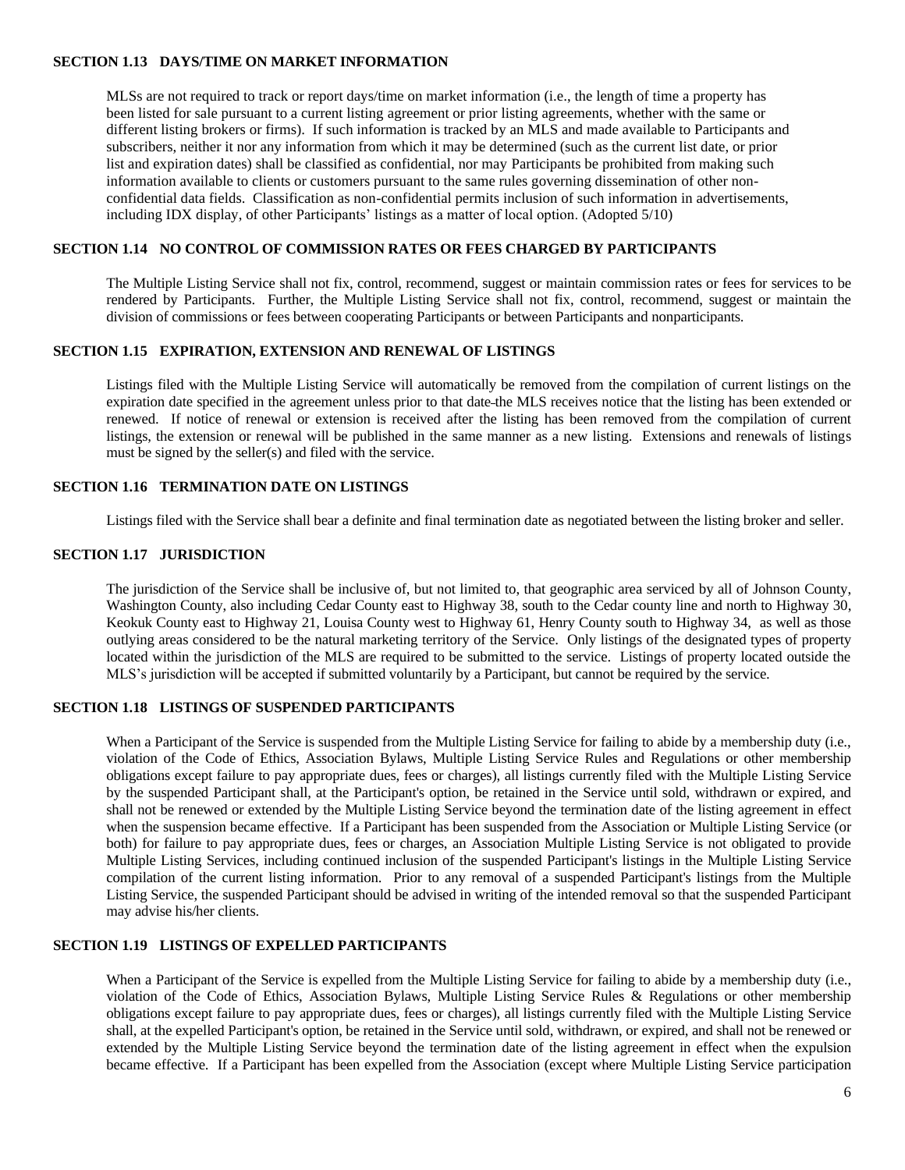### **SECTION 1.13 DAYS/TIME ON MARKET INFORMATION**

MLSs are not required to track or report days/time on market information (i.e., the length of time a property has been listed for sale pursuant to a current listing agreement or prior listing agreements, whether with the same or different listing brokers or firms). If such information is tracked by an MLS and made available to Participants and subscribers, neither it nor any information from which it may be determined (such as the current list date, or prior list and expiration dates) shall be classified as confidential, nor may Participants be prohibited from making such information available to clients or customers pursuant to the same rules governing dissemination of other nonconfidential data fields. Classification as non-confidential permits inclusion of such information in advertisements, including IDX display, of other Participants' listings as a matter of local option. (Adopted 5/10)

### **SECTION 1.14 NO CONTROL OF COMMISSION RATES OR FEES CHARGED BY PARTICIPANTS**

The Multiple Listing Service shall not fix, control, recommend, suggest or maintain commission rates or fees for services to be rendered by Participants. Further, the Multiple Listing Service shall not fix, control, recommend, suggest or maintain the division of commissions or fees between cooperating Participants or between Participants and nonparticipants.

### **SECTION 1.15 EXPIRATION, EXTENSION AND RENEWAL OF LISTINGS**

Listings filed with the Multiple Listing Service will automatically be removed from the compilation of current listings on the expiration date specified in the agreement unless prior to that date the MLS receives notice that the listing has been extended or renewed. If notice of renewal or extension is received after the listing has been removed from the compilation of current listings, the extension or renewal will be published in the same manner as a new listing. Extensions and renewals of listings must be signed by the seller(s) and filed with the service.

### **SECTION 1.16 TERMINATION DATE ON LISTINGS**

Listings filed with the Service shall bear a definite and final termination date as negotiated between the listing broker and seller.

### **SECTION 1.17 JURISDICTION**

The jurisdiction of the Service shall be inclusive of, but not limited to, that geographic area serviced by all of Johnson County, Washington County, also including Cedar County east to Highway 38, south to the Cedar county line and north to Highway 30, Keokuk County east to Highway 21, Louisa County west to Highway 61, Henry County south to Highway 34, as well as those outlying areas considered to be the natural marketing territory of the Service. Only listings of the designated types of property located within the jurisdiction of the MLS are required to be submitted to the service. Listings of property located outside the MLS's jurisdiction will be accepted if submitted voluntarily by a Participant, but cannot be required by the service.

# **SECTION 1.18 LISTINGS OF SUSPENDED PARTICIPANTS**

When a Participant of the Service is suspended from the Multiple Listing Service for failing to abide by a membership duty (i.e., violation of the Code of Ethics, Association Bylaws, Multiple Listing Service Rules and Regulations or other membership obligations except failure to pay appropriate dues, fees or charges), all listings currently filed with the Multiple Listing Service by the suspended Participant shall, at the Participant's option, be retained in the Service until sold, withdrawn or expired, and shall not be renewed or extended by the Multiple Listing Service beyond the termination date of the listing agreement in effect when the suspension became effective. If a Participant has been suspended from the Association or Multiple Listing Service (or both) for failure to pay appropriate dues, fees or charges, an Association Multiple Listing Service is not obligated to provide Multiple Listing Services, including continued inclusion of the suspended Participant's listings in the Multiple Listing Service compilation of the current listing information. Prior to any removal of a suspended Participant's listings from the Multiple Listing Service, the suspended Participant should be advised in writing of the intended removal so that the suspended Participant may advise his/her clients.

#### **SECTION 1.19 LISTINGS OF EXPELLED PARTICIPANTS**

When a Participant of the Service is expelled from the Multiple Listing Service for failing to abide by a membership duty (i.e., violation of the Code of Ethics, Association Bylaws, Multiple Listing Service Rules & Regulations or other membership obligations except failure to pay appropriate dues, fees or charges), all listings currently filed with the Multiple Listing Service shall, at the expelled Participant's option, be retained in the Service until sold, withdrawn, or expired, and shall not be renewed or extended by the Multiple Listing Service beyond the termination date of the listing agreement in effect when the expulsion became effective. If a Participant has been expelled from the Association (except where Multiple Listing Service participation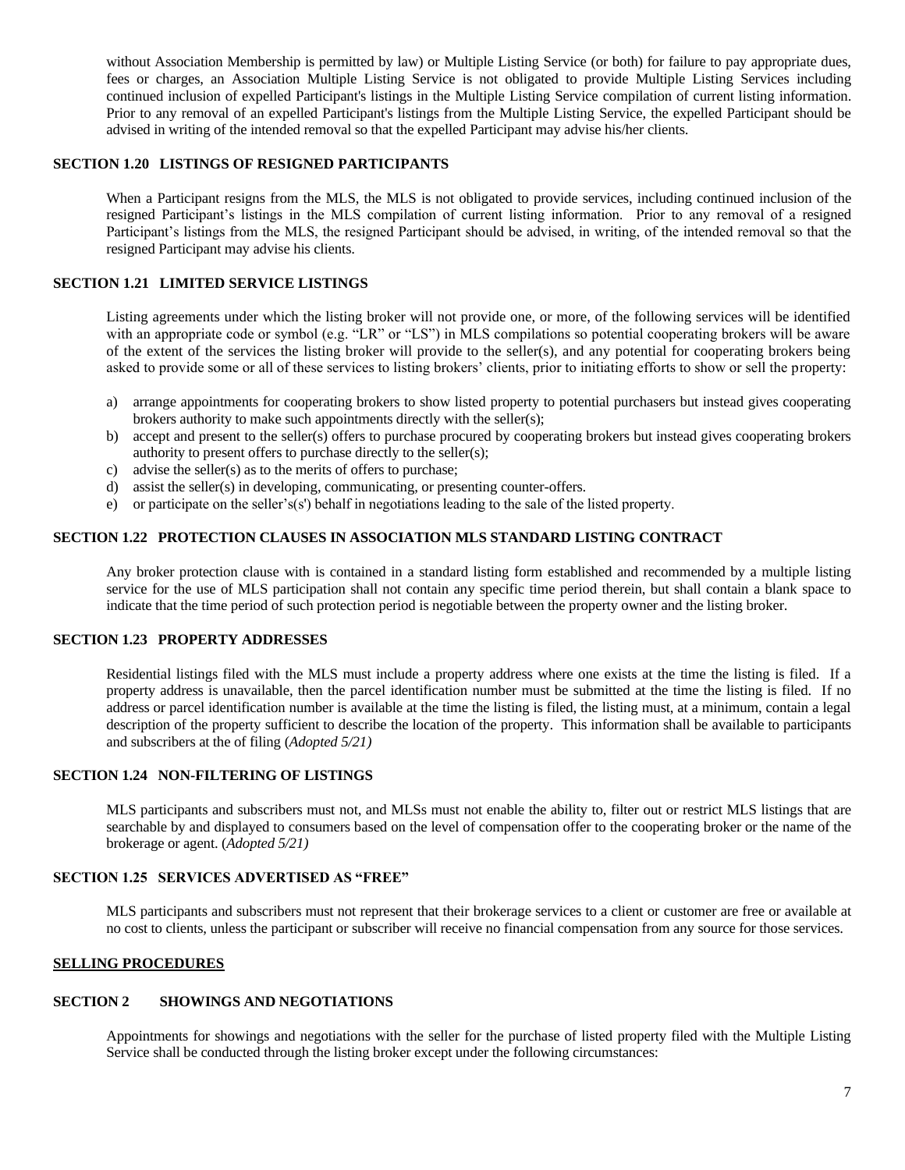without Association Membership is permitted by law) or Multiple Listing Service (or both) for failure to pay appropriate dues, fees or charges, an Association Multiple Listing Service is not obligated to provide Multiple Listing Services including continued inclusion of expelled Participant's listings in the Multiple Listing Service compilation of current listing information. Prior to any removal of an expelled Participant's listings from the Multiple Listing Service, the expelled Participant should be advised in writing of the intended removal so that the expelled Participant may advise his/her clients.

### **SECTION 1.20 LISTINGS OF RESIGNED PARTICIPANTS**

When a Participant resigns from the MLS, the MLS is not obligated to provide services, including continued inclusion of the resigned Participant's listings in the MLS compilation of current listing information. Prior to any removal of a resigned Participant's listings from the MLS, the resigned Participant should be advised, in writing, of the intended removal so that the resigned Participant may advise his clients.

### **SECTION 1.21 LIMITED SERVICE LISTINGS**

Listing agreements under which the listing broker will not provide one, or more, of the following services will be identified with an appropriate code or symbol (e.g. "LR" or "LS") in MLS compilations so potential cooperating brokers will be aware of the extent of the services the listing broker will provide to the seller(s), and any potential for cooperating brokers being asked to provide some or all of these services to listing brokers' clients, prior to initiating efforts to show or sell the property:

- a) arrange appointments for cooperating brokers to show listed property to potential purchasers but instead gives cooperating brokers authority to make such appointments directly with the seller(s);
- b) accept and present to the seller(s) offers to purchase procured by cooperating brokers but instead gives cooperating brokers authority to present offers to purchase directly to the seller(s);
- c) advise the seller(s) as to the merits of offers to purchase;
- d) assist the seller(s) in developing, communicating, or presenting counter-offers.
- e) or participate on the seller's(s') behalf in negotiations leading to the sale of the listed property.

### **SECTION 1.22 PROTECTION CLAUSES IN ASSOCIATION MLS STANDARD LISTING CONTRACT**

Any broker protection clause with is contained in a standard listing form established and recommended by a multiple listing service for the use of MLS participation shall not contain any specific time period therein, but shall contain a blank space to indicate that the time period of such protection period is negotiable between the property owner and the listing broker.

#### **SECTION 1.23 PROPERTY ADDRESSES**

Residential listings filed with the MLS must include a property address where one exists at the time the listing is filed. If a property address is unavailable, then the parcel identification number must be submitted at the time the listing is filed. If no address or parcel identification number is available at the time the listing is filed, the listing must, at a minimum, contain a legal description of the property sufficient to describe the location of the property. This information shall be available to participants and subscribers at the of filing (*Adopted 5/21)*

### **SECTION 1.24 NON-FILTERING OF LISTINGS**

MLS participants and subscribers must not, and MLSs must not enable the ability to, filter out or restrict MLS listings that are searchable by and displayed to consumers based on the level of compensation offer to the cooperating broker or the name of the brokerage or agent. (*Adopted 5/21)*

## **SECTION 1.25 SERVICES ADVERTISED AS "FREE"**

MLS participants and subscribers must not represent that their brokerage services to a client or customer are free or available at no cost to clients, unless the participant or subscriber will receive no financial compensation from any source for those services.

### <span id="page-6-0"></span>**SELLING PROCEDURES**

# **SECTION 2 SHOWINGS AND NEGOTIATIONS**

Appointments for showings and negotiations with the seller for the purchase of listed property filed with the Multiple Listing Service shall be conducted through the listing broker except under the following circumstances: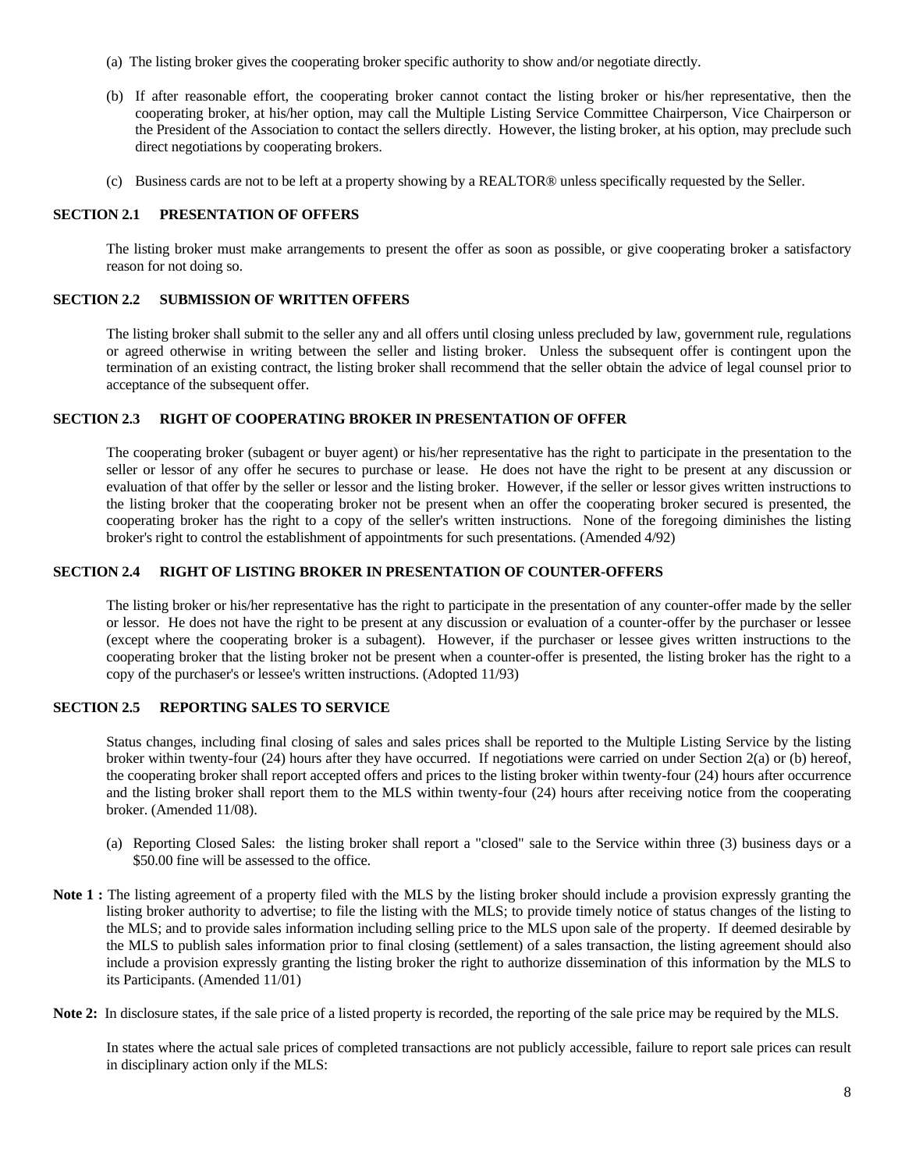- (a) The listing broker gives the cooperating broker specific authority to show and/or negotiate directly.
- (b) If after reasonable effort, the cooperating broker cannot contact the listing broker or his/her representative, then the cooperating broker, at his/her option, may call the Multiple Listing Service Committee Chairperson, Vice Chairperson or the President of the Association to contact the sellers directly. However, the listing broker, at his option, may preclude such direct negotiations by cooperating brokers.
- (c) Business cards are not to be left at a property showing by a REALTOR® unless specifically requested by the Seller.

### **SECTION 2.1 PRESENTATION OF OFFERS**

The listing broker must make arrangements to present the offer as soon as possible, or give cooperating broker a satisfactory reason for not doing so.

#### **SECTION 2.2 SUBMISSION OF WRITTEN OFFERS**

The listing broker shall submit to the seller any and all offers until closing unless precluded by law, government rule, regulations or agreed otherwise in writing between the seller and listing broker. Unless the subsequent offer is contingent upon the termination of an existing contract, the listing broker shall recommend that the seller obtain the advice of legal counsel prior to acceptance of the subsequent offer.

### **SECTION 2.3 RIGHT OF COOPERATING BROKER IN PRESENTATION OF OFFER**

The cooperating broker (subagent or buyer agent) or his/her representative has the right to participate in the presentation to the seller or lessor of any offer he secures to purchase or lease. He does not have the right to be present at any discussion or evaluation of that offer by the seller or lessor and the listing broker. However, if the seller or lessor gives written instructions to the listing broker that the cooperating broker not be present when an offer the cooperating broker secured is presented, the cooperating broker has the right to a copy of the seller's written instructions. None of the foregoing diminishes the listing broker's right to control the establishment of appointments for such presentations. (Amended 4/92)

### **SECTION 2.4 RIGHT OF LISTING BROKER IN PRESENTATION OF COUNTER-OFFERS**

The listing broker or his/her representative has the right to participate in the presentation of any counter-offer made by the seller or lessor. He does not have the right to be present at any discussion or evaluation of a counter-offer by the purchaser or lessee (except where the cooperating broker is a subagent). However, if the purchaser or lessee gives written instructions to the cooperating broker that the listing broker not be present when a counter-offer is presented, the listing broker has the right to a copy of the purchaser's or lessee's written instructions. (Adopted 11/93)

## **SECTION 2.5 REPORTING SALES TO SERVICE**

Status changes, including final closing of sales and sales prices shall be reported to the Multiple Listing Service by the listing broker within twenty-four (24) hours after they have occurred. If negotiations were carried on under Section 2(a) or (b) hereof, the cooperating broker shall report accepted offers and prices to the listing broker within twenty-four (24) hours after occurrence and the listing broker shall report them to the MLS within twenty-four (24) hours after receiving notice from the cooperating broker. (Amended 11/08).

- (a) Reporting Closed Sales: the listing broker shall report a "closed" sale to the Service within three (3) business days or a \$50.00 fine will be assessed to the office.
- **Note 1 :** The listing agreement of a property filed with the MLS by the listing broker should include a provision expressly granting the listing broker authority to advertise; to file the listing with the MLS; to provide timely notice of status changes of the listing to the MLS; and to provide sales information including selling price to the MLS upon sale of the property. If deemed desirable by the MLS to publish sales information prior to final closing (settlement) of a sales transaction, the listing agreement should also include a provision expressly granting the listing broker the right to authorize dissemination of this information by the MLS to its Participants. (Amended 11/01)
- **Note 2:** In disclosure states, if the sale price of a listed property is recorded, the reporting of the sale price may be required by the MLS.

In states where the actual sale prices of completed transactions are not publicly accessible, failure to report sale prices can result in disciplinary action only if the MLS: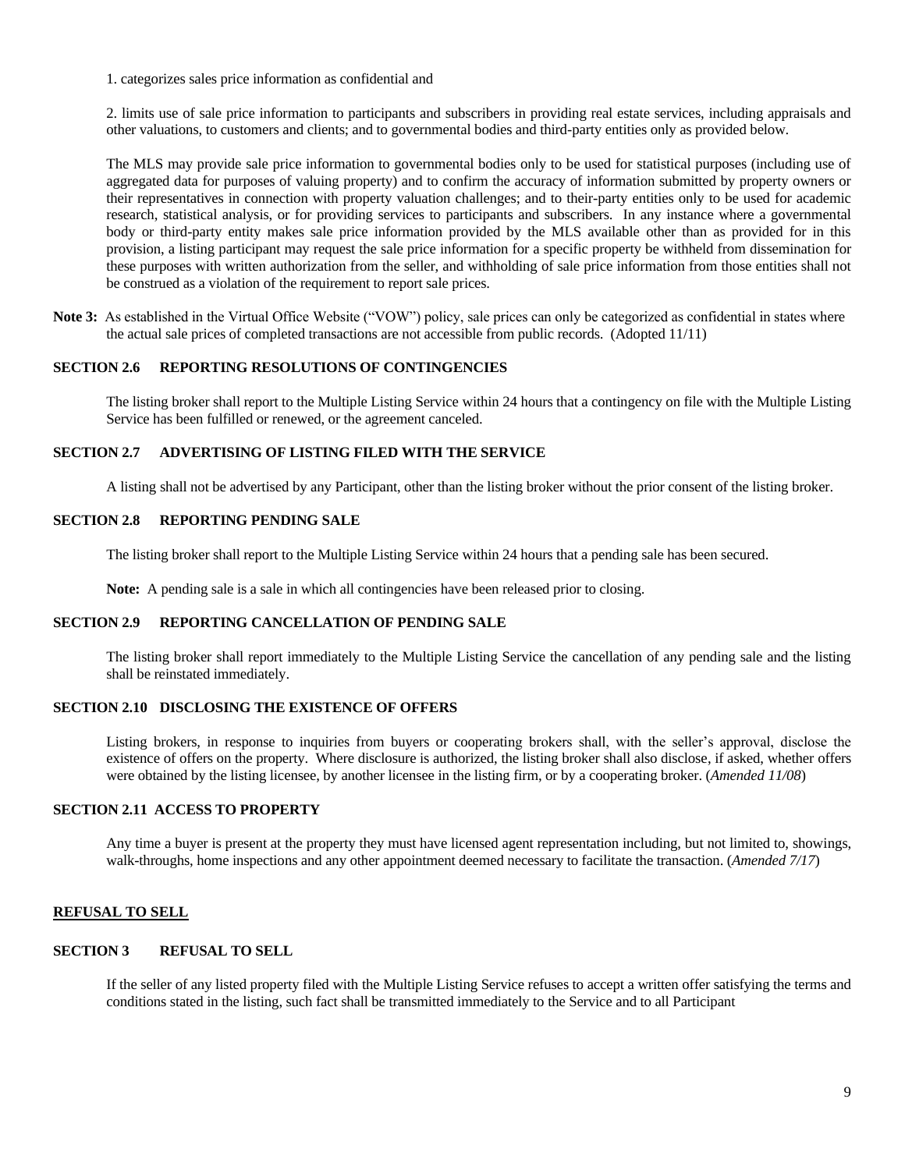1. categorizes sales price information as confidential and

2. limits use of sale price information to participants and subscribers in providing real estate services, including appraisals and other valuations, to customers and clients; and to governmental bodies and third-party entities only as provided below.

The MLS may provide sale price information to governmental bodies only to be used for statistical purposes (including use of aggregated data for purposes of valuing property) and to confirm the accuracy of information submitted by property owners or their representatives in connection with property valuation challenges; and to their-party entities only to be used for academic research, statistical analysis, or for providing services to participants and subscribers. In any instance where a governmental body or third-party entity makes sale price information provided by the MLS available other than as provided for in this provision, a listing participant may request the sale price information for a specific property be withheld from dissemination for these purposes with written authorization from the seller, and withholding of sale price information from those entities shall not be construed as a violation of the requirement to report sale prices.

**Note 3:** As established in the Virtual Office Website ("VOW") policy, sale prices can only be categorized as confidential in states where the actual sale prices of completed transactions are not accessible from public records. (Adopted 11/11)

### **SECTION 2.6 REPORTING RESOLUTIONS OF CONTINGENCIES**

The listing broker shall report to the Multiple Listing Service within 24 hours that a contingency on file with the Multiple Listing Service has been fulfilled or renewed, or the agreement canceled.

#### **SECTION 2.7 ADVERTISING OF LISTING FILED WITH THE SERVICE**

A listing shall not be advertised by any Participant, other than the listing broker without the prior consent of the listing broker.

### **SECTION 2.8 REPORTING PENDING SALE**

The listing broker shall report to the Multiple Listing Service within 24 hours that a pending sale has been secured.

**Note:** A pending sale is a sale in which all contingencies have been released prior to closing.

### **SECTION 2.9 REPORTING CANCELLATION OF PENDING SALE**

The listing broker shall report immediately to the Multiple Listing Service the cancellation of any pending sale and the listing shall be reinstated immediately.

### **SECTION 2.10 DISCLOSING THE EXISTENCE OF OFFERS**

Listing brokers, in response to inquiries from buyers or cooperating brokers shall, with the seller's approval, disclose the existence of offers on the property. Where disclosure is authorized, the listing broker shall also disclose, if asked, whether offers were obtained by the listing licensee, by another licensee in the listing firm, or by a cooperating broker. (*Amended 11/08*)

### **SECTION 2.11 ACCESS TO PROPERTY**

Any time a buyer is present at the property they must have licensed agent representation including, but not limited to, showings, walk-throughs, home inspections and any other appointment deemed necessary to facilitate the transaction. (*Amended 7/17*)

### <span id="page-8-0"></span>**REFUSAL TO SELL**

### **SECTION 3 REFUSAL TO SELL**

<span id="page-8-1"></span>If the seller of any listed property filed with the Multiple Listing Service refuses to accept a written offer satisfying the terms and conditions stated in the listing, such fact shall be transmitted immediately to the Service and to all Participant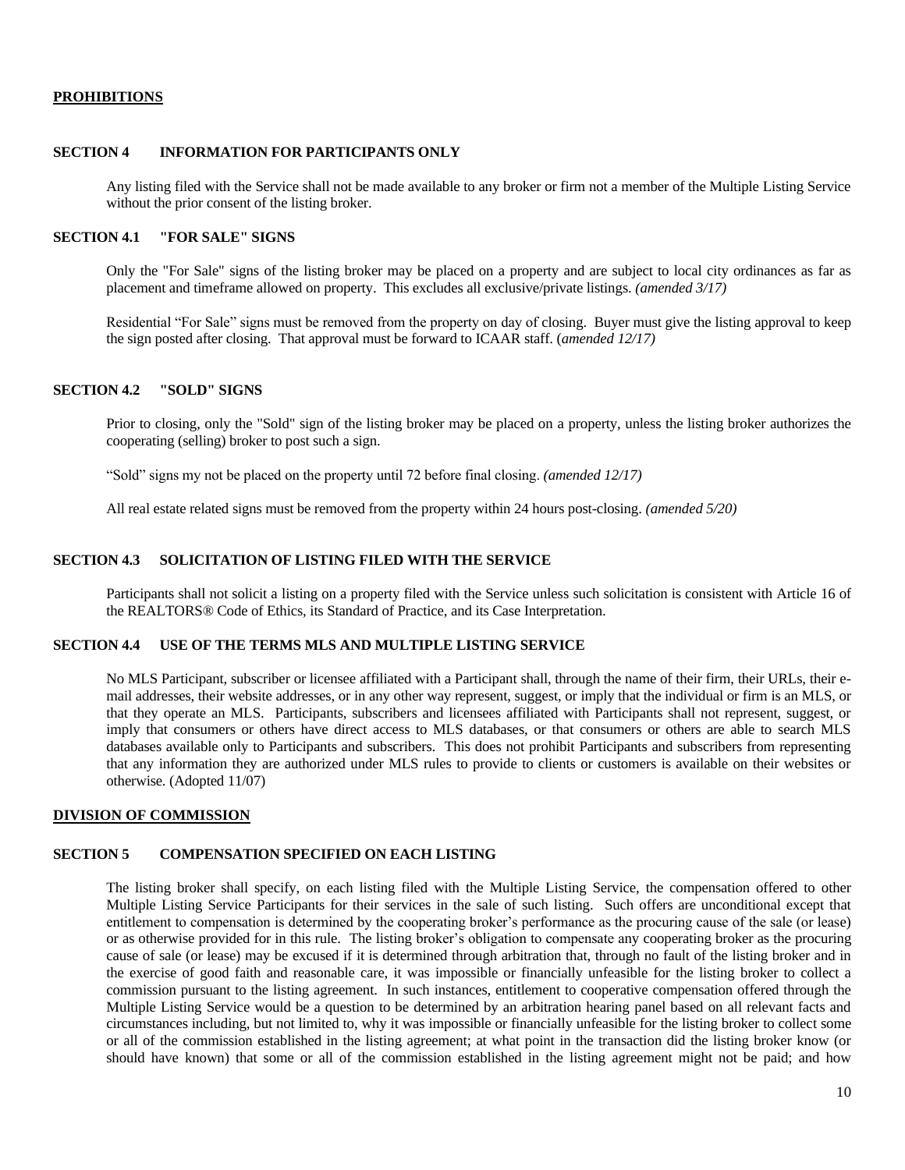### **PROHIBITIONS**

### **SECTION 4 INFORMATION FOR PARTICIPANTS ONLY**

Any listing filed with the Service shall not be made available to any broker or firm not a member of the Multiple Listing Service without the prior consent of the listing broker.

## **SECTION 4.1 "FOR SALE" SIGNS**

Only the "For Sale" signs of the listing broker may be placed on a property and are subject to local city ordinances as far as placement and timeframe allowed on property. This excludes all exclusive/private listings. *(amended 3/17)*

Residential "For Sale" signs must be removed from the property on day of closing. Buyer must give the listing approval to keep the sign posted after closing. That approval must be forward to ICAAR staff. (*amended 12/17)*

### **SECTION 4.2 "SOLD" SIGNS**

Prior to closing, only the "Sold" sign of the listing broker may be placed on a property, unless the listing broker authorizes the cooperating (selling) broker to post such a sign.

"Sold" signs my not be placed on the property until 72 before final closing. *(amended 12/17)*

All real estate related signs must be removed from the property within 24 hours post-closing. *(amended 5/20)*

## **SECTION 4.3 SOLICITATION OF LISTING FILED WITH THE SERVICE**

Participants shall not solicit a listing on a property filed with the Service unless such solicitation is consistent with Article 16 of the REALTORS® Code of Ethics, its Standard of Practice, and its Case Interpretation.

### **SECTION 4.4 USE OF THE TERMS MLS AND MULTIPLE LISTING SERVICE**

No MLS Participant, subscriber or licensee affiliated with a Participant shall, through the name of their firm, their URLs, their email addresses, their website addresses, or in any other way represent, suggest, or imply that the individual or firm is an MLS, or that they operate an MLS. Participants, subscribers and licensees affiliated with Participants shall not represent, suggest, or imply that consumers or others have direct access to MLS databases, or that consumers or others are able to search MLS databases available only to Participants and subscribers. This does not prohibit Participants and subscribers from representing that any information they are authorized under MLS rules to provide to clients or customers is available on their websites or otherwise. (Adopted 11/07)

#### <span id="page-9-0"></span>**DIVISION OF COMMISSION**

# **SECTION 5 COMPENSATION SPECIFIED ON EACH LISTING**

The listing broker shall specify, on each listing filed with the Multiple Listing Service, the compensation offered to other Multiple Listing Service Participants for their services in the sale of such listing. Such offers are unconditional except that entitlement to compensation is determined by the cooperating broker's performance as the procuring cause of the sale (or lease) or as otherwise provided for in this rule. The listing broker's obligation to compensate any cooperating broker as the procuring cause of sale (or lease) may be excused if it is determined through arbitration that, through no fault of the listing broker and in the exercise of good faith and reasonable care, it was impossible or financially unfeasible for the listing broker to collect a commission pursuant to the listing agreement. In such instances, entitlement to cooperative compensation offered through the Multiple Listing Service would be a question to be determined by an arbitration hearing panel based on all relevant facts and circumstances including, but not limited to, why it was impossible or financially unfeasible for the listing broker to collect some or all of the commission established in the listing agreement; at what point in the transaction did the listing broker know (or should have known) that some or all of the commission established in the listing agreement might not be paid; and how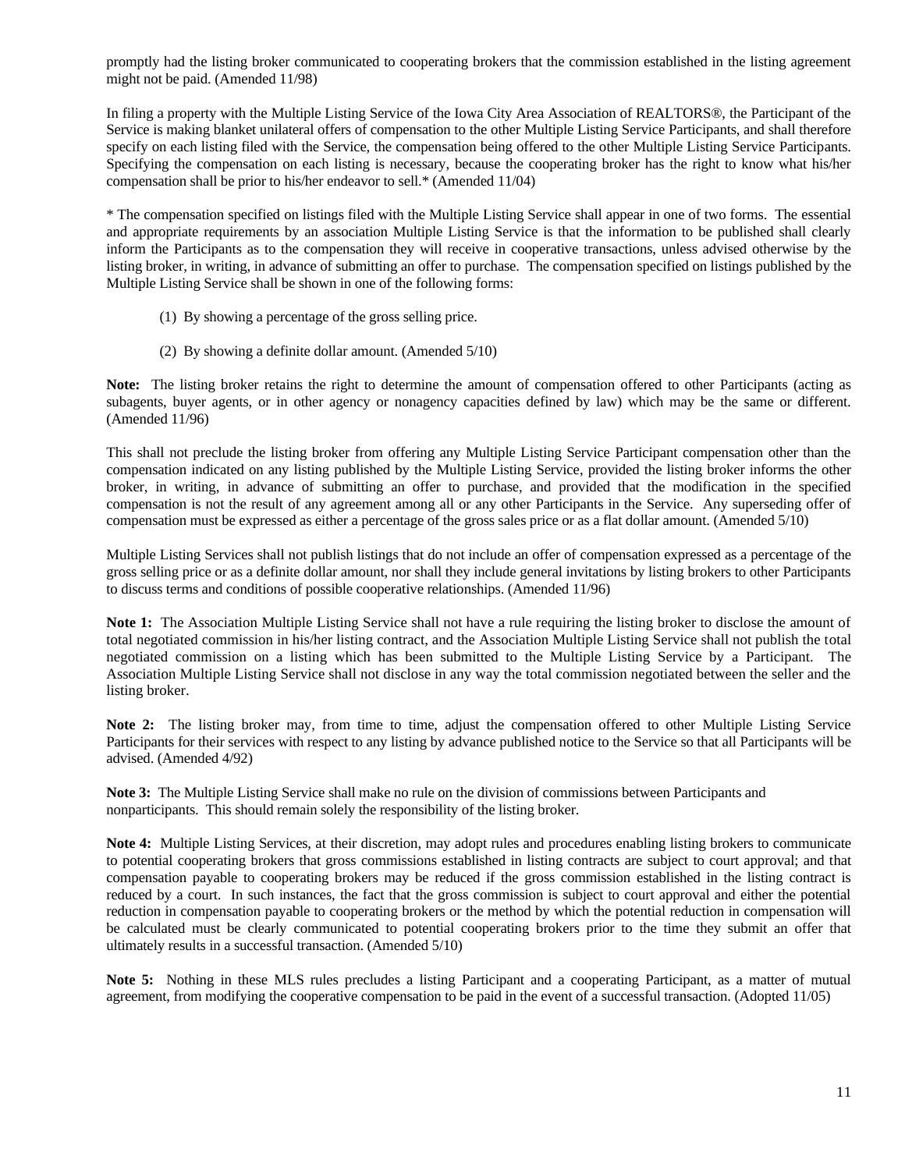promptly had the listing broker communicated to cooperating brokers that the commission established in the listing agreement might not be paid. (Amended 11/98)

In filing a property with the Multiple Listing Service of the Iowa City Area Association of REALTORS®, the Participant of the Service is making blanket unilateral offers of compensation to the other Multiple Listing Service Participants, and shall therefore specify on each listing filed with the Service, the compensation being offered to the other Multiple Listing Service Participants. Specifying the compensation on each listing is necessary, because the cooperating broker has the right to know what his/her compensation shall be prior to his/her endeavor to sell.\* (Amended 11/04)

\* The compensation specified on listings filed with the Multiple Listing Service shall appear in one of two forms. The essential and appropriate requirements by an association Multiple Listing Service is that the information to be published shall clearly inform the Participants as to the compensation they will receive in cooperative transactions, unless advised otherwise by the listing broker, in writing, in advance of submitting an offer to purchase. The compensation specified on listings published by the Multiple Listing Service shall be shown in one of the following forms:

- (1) By showing a percentage of the gross selling price.
- (2) By showing a definite dollar amount. (Amended 5/10)

**Note:** The listing broker retains the right to determine the amount of compensation offered to other Participants (acting as subagents, buyer agents, or in other agency or nonagency capacities defined by law) which may be the same or different. (Amended 11/96)

This shall not preclude the listing broker from offering any Multiple Listing Service Participant compensation other than the compensation indicated on any listing published by the Multiple Listing Service, provided the listing broker informs the other broker, in writing, in advance of submitting an offer to purchase, and provided that the modification in the specified compensation is not the result of any agreement among all or any other Participants in the Service. Any superseding offer of compensation must be expressed as either a percentage of the gross sales price or as a flat dollar amount. (Amended 5/10)

Multiple Listing Services shall not publish listings that do not include an offer of compensation expressed as a percentage of the gross selling price or as a definite dollar amount, nor shall they include general invitations by listing brokers to other Participants to discuss terms and conditions of possible cooperative relationships. (Amended 11/96)

**Note 1:** The Association Multiple Listing Service shall not have a rule requiring the listing broker to disclose the amount of total negotiated commission in his/her listing contract, and the Association Multiple Listing Service shall not publish the total negotiated commission on a listing which has been submitted to the Multiple Listing Service by a Participant. The Association Multiple Listing Service shall not disclose in any way the total commission negotiated between the seller and the listing broker.

**Note 2:** The listing broker may, from time to time, adjust the compensation offered to other Multiple Listing Service Participants for their services with respect to any listing by advance published notice to the Service so that all Participants will be advised. (Amended 4/92)

**Note 3:** The Multiple Listing Service shall make no rule on the division of commissions between Participants and nonparticipants. This should remain solely the responsibility of the listing broker.

**Note 4:** Multiple Listing Services, at their discretion, may adopt rules and procedures enabling listing brokers to communicate to potential cooperating brokers that gross commissions established in listing contracts are subject to court approval; and that compensation payable to cooperating brokers may be reduced if the gross commission established in the listing contract is reduced by a court. In such instances, the fact that the gross commission is subject to court approval and either the potential reduction in compensation payable to cooperating brokers or the method by which the potential reduction in compensation will be calculated must be clearly communicated to potential cooperating brokers prior to the time they submit an offer that ultimately results in a successful transaction. (Amended 5/10)

**Note 5:** Nothing in these MLS rules precludes a listing Participant and a cooperating Participant, as a matter of mutual agreement, from modifying the cooperative compensation to be paid in the event of a successful transaction. (Adopted 11/05)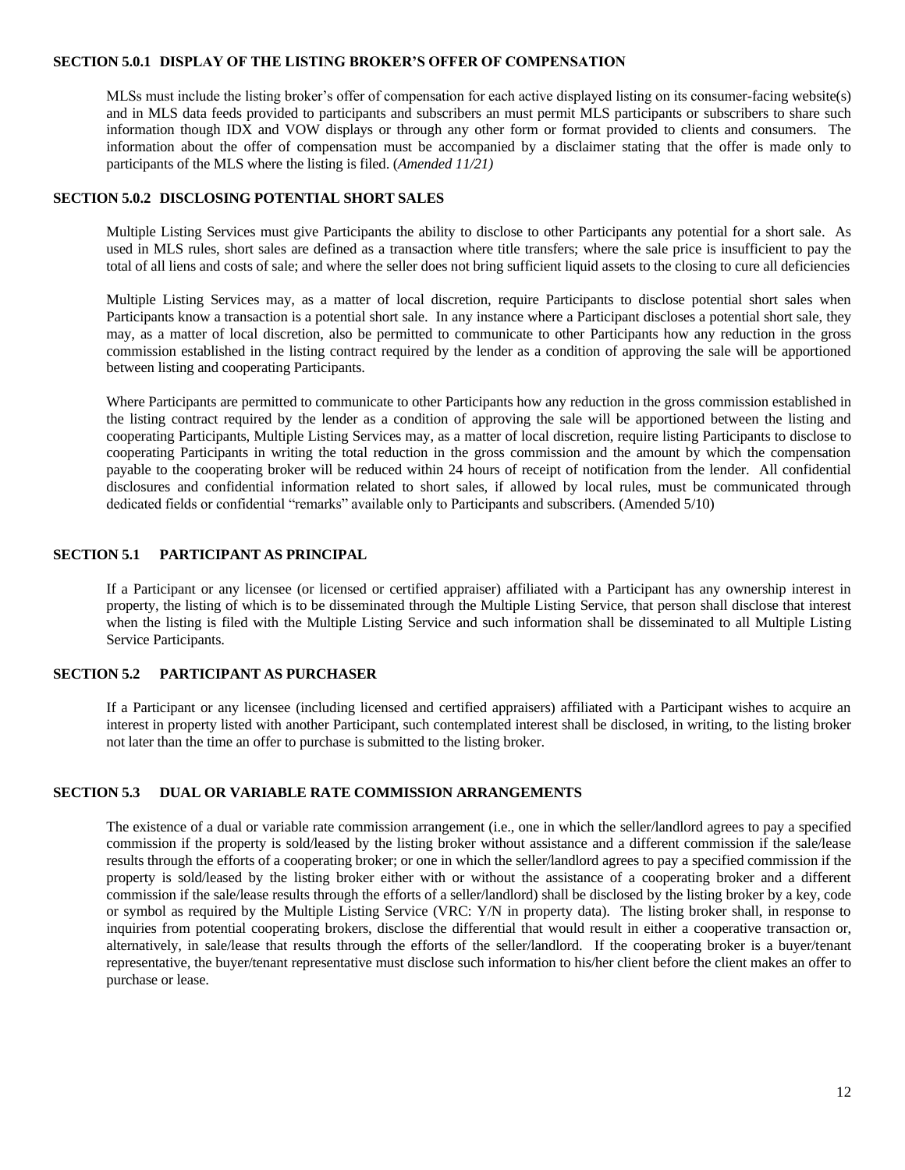### **SECTION 5.0.1 DISPLAY OF THE LISTING BROKER'S OFFER OF COMPENSATION**

MLSs must include the listing broker's offer of compensation for each active displayed listing on its consumer-facing website(s) and in MLS data feeds provided to participants and subscribers an must permit MLS participants or subscribers to share such information though IDX and VOW displays or through any other form or format provided to clients and consumers. The information about the offer of compensation must be accompanied by a disclaimer stating that the offer is made only to participants of the MLS where the listing is filed. (*Amended 11/21)*

#### **SECTION 5.0.2 DISCLOSING POTENTIAL SHORT SALES**

Multiple Listing Services must give Participants the ability to disclose to other Participants any potential for a short sale. As used in MLS rules, short sales are defined as a transaction where title transfers; where the sale price is insufficient to pay the total of all liens and costs of sale; and where the seller does not bring sufficient liquid assets to the closing to cure all deficiencies

Multiple Listing Services may, as a matter of local discretion, require Participants to disclose potential short sales when Participants know a transaction is a potential short sale. In any instance where a Participant discloses a potential short sale, they may, as a matter of local discretion, also be permitted to communicate to other Participants how any reduction in the gross commission established in the listing contract required by the lender as a condition of approving the sale will be apportioned between listing and cooperating Participants.

Where Participants are permitted to communicate to other Participants how any reduction in the gross commission established in the listing contract required by the lender as a condition of approving the sale will be apportioned between the listing and cooperating Participants, Multiple Listing Services may, as a matter of local discretion, require listing Participants to disclose to cooperating Participants in writing the total reduction in the gross commission and the amount by which the compensation payable to the cooperating broker will be reduced within 24 hours of receipt of notification from the lender. All confidential disclosures and confidential information related to short sales, if allowed by local rules, must be communicated through dedicated fields or confidential "remarks" available only to Participants and subscribers. (Amended 5/10)

### **SECTION 5.1 PARTICIPANT AS PRINCIPAL**

If a Participant or any licensee (or licensed or certified appraiser) affiliated with a Participant has any ownership interest in property, the listing of which is to be disseminated through the Multiple Listing Service, that person shall disclose that interest when the listing is filed with the Multiple Listing Service and such information shall be disseminated to all Multiple Listing Service Participants.

## **SECTION 5.2 PARTICIPANT AS PURCHASER**

If a Participant or any licensee (including licensed and certified appraisers) affiliated with a Participant wishes to acquire an interest in property listed with another Participant, such contemplated interest shall be disclosed, in writing, to the listing broker not later than the time an offer to purchase is submitted to the listing broker.

### **SECTION 5.3 DUAL OR VARIABLE RATE COMMISSION ARRANGEMENTS**

<span id="page-11-0"></span>The existence of a dual or variable rate commission arrangement (i.e., one in which the seller/landlord agrees to pay a specified commission if the property is sold/leased by the listing broker without assistance and a different commission if the sale/lease results through the efforts of a cooperating broker; or one in which the seller/landlord agrees to pay a specified commission if the property is sold/leased by the listing broker either with or without the assistance of a cooperating broker and a different commission if the sale/lease results through the efforts of a seller/landlord) shall be disclosed by the listing broker by a key, code or symbol as required by the Multiple Listing Service (VRC: Y/N in property data). The listing broker shall, in response to inquiries from potential cooperating brokers, disclose the differential that would result in either a cooperative transaction or, alternatively, in sale/lease that results through the efforts of the seller/landlord. If the cooperating broker is a buyer/tenant representative, the buyer/tenant representative must disclose such information to his/her client before the client makes an offer to purchase or lease.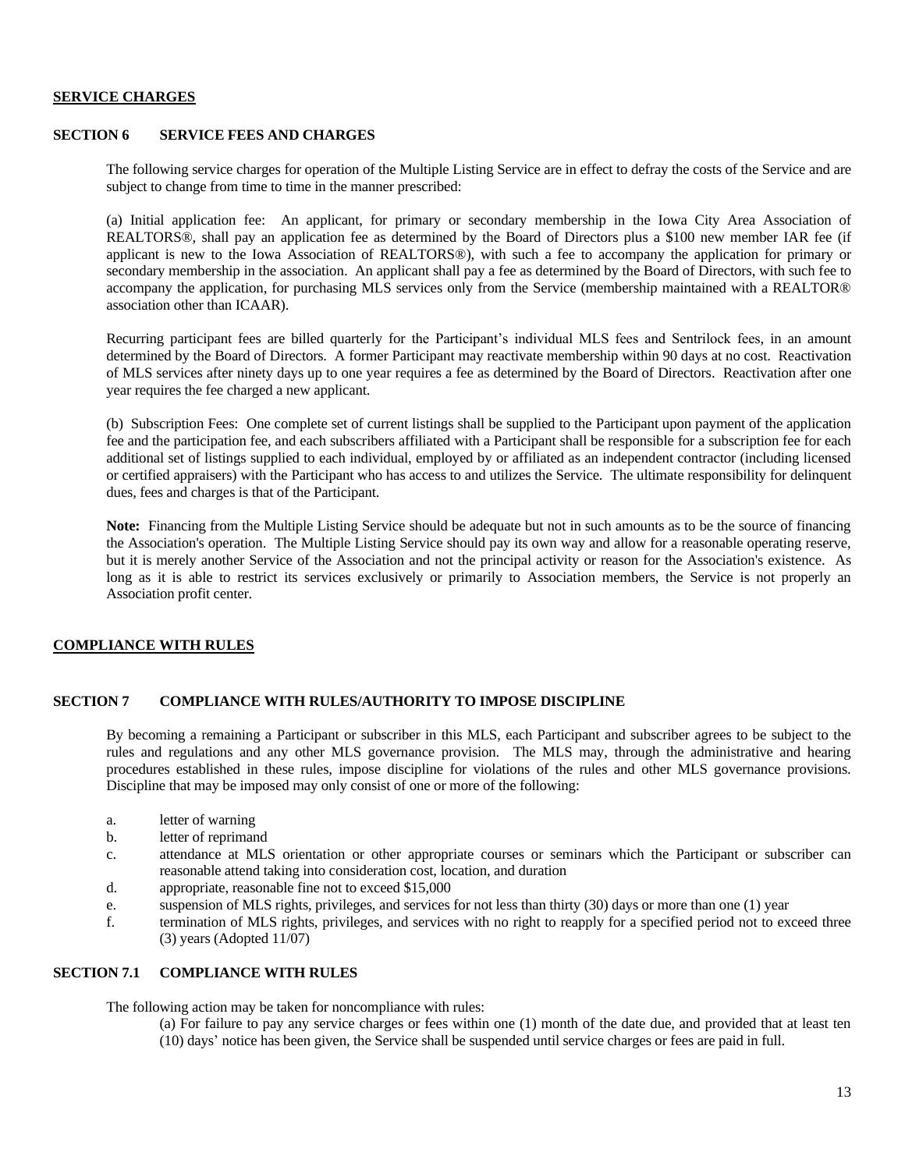### **SERVICE CHARGES**

### **SECTION 6 SERVICE FEES AND CHARGES**

The following service charges for operation of the Multiple Listing Service are in effect to defray the costs of the Service and are subject to change from time to time in the manner prescribed:

(a) Initial application fee: An applicant, for primary or secondary membership in the Iowa City Area Association of REALTORS®, shall pay an application fee as determined by the Board of Directors plus a \$100 new member IAR fee (if applicant is new to the Iowa Association of REALTORS®), with such a fee to accompany the application for primary or secondary membership in the association. An applicant shall pay a fee as determined by the Board of Directors, with such fee to accompany the application, for purchasing MLS services only from the Service (membership maintained with a REALTOR® association other than ICAAR).

Recurring participant fees are billed quarterly for the Participant's individual MLS fees and Sentrilock fees, in an amount determined by the Board of Directors. A former Participant may reactivate membership within 90 days at no cost. Reactivation of MLS services after ninety days up to one year requires a fee as determined by the Board of Directors. Reactivation after one year requires the fee charged a new applicant.

(b) Subscription Fees: One complete set of current listings shall be supplied to the Participant upon payment of the application fee and the participation fee, and each subscribers affiliated with a Participant shall be responsible for a subscription fee for each additional set of listings supplied to each individual, employed by or affiliated as an independent contractor (including licensed or certified appraisers) with the Participant who has access to and utilizes the Service. The ultimate responsibility for delinquent dues, fees and charges is that of the Participant.

**Note:** Financing from the Multiple Listing Service should be adequate but not in such amounts as to be the source of financing the Association's operation. The Multiple Listing Service should pay its own way and allow for a reasonable operating reserve, but it is merely another Service of the Association and not the principal activity or reason for the Association's existence. As long as it is able to restrict its services exclusively or primarily to Association members, the Service is not properly an Association profit center.

# <span id="page-12-0"></span>**COMPLIANCE WITH RULES**

#### **SECTION 7 COMPLIANCE WITH RULES/AUTHORITY TO IMPOSE DISCIPLINE**

By becoming a remaining a Participant or subscriber in this MLS, each Participant and subscriber agrees to be subject to the rules and regulations and any other MLS governance provision. The MLS may, through the administrative and hearing procedures established in these rules, impose discipline for violations of the rules and other MLS governance provisions. Discipline that may be imposed may only consist of one or more of the following:

- a. letter of warning
- b. letter of reprimand
- c. attendance at MLS orientation or other appropriate courses or seminars which the Participant or subscriber can reasonable attend taking into consideration cost, location, and duration
- d. appropriate, reasonable fine not to exceed \$15,000
- e. suspension of MLS rights, privileges, and services for not less than thirty (30) days or more than one (1) year
- f. termination of MLS rights, privileges, and services with no right to reapply for a specified period not to exceed three  $(3)$  years (Adopted 11/07)

# **SECTION 7.1 COMPLIANCE WITH RULES**

The following action may be taken for noncompliance with rules:

(a) For failure to pay any service charges or fees within one (1) month of the date due, and provided that at least ten (10) days' notice has been given, the Service shall be suspended until service charges or fees are paid in full.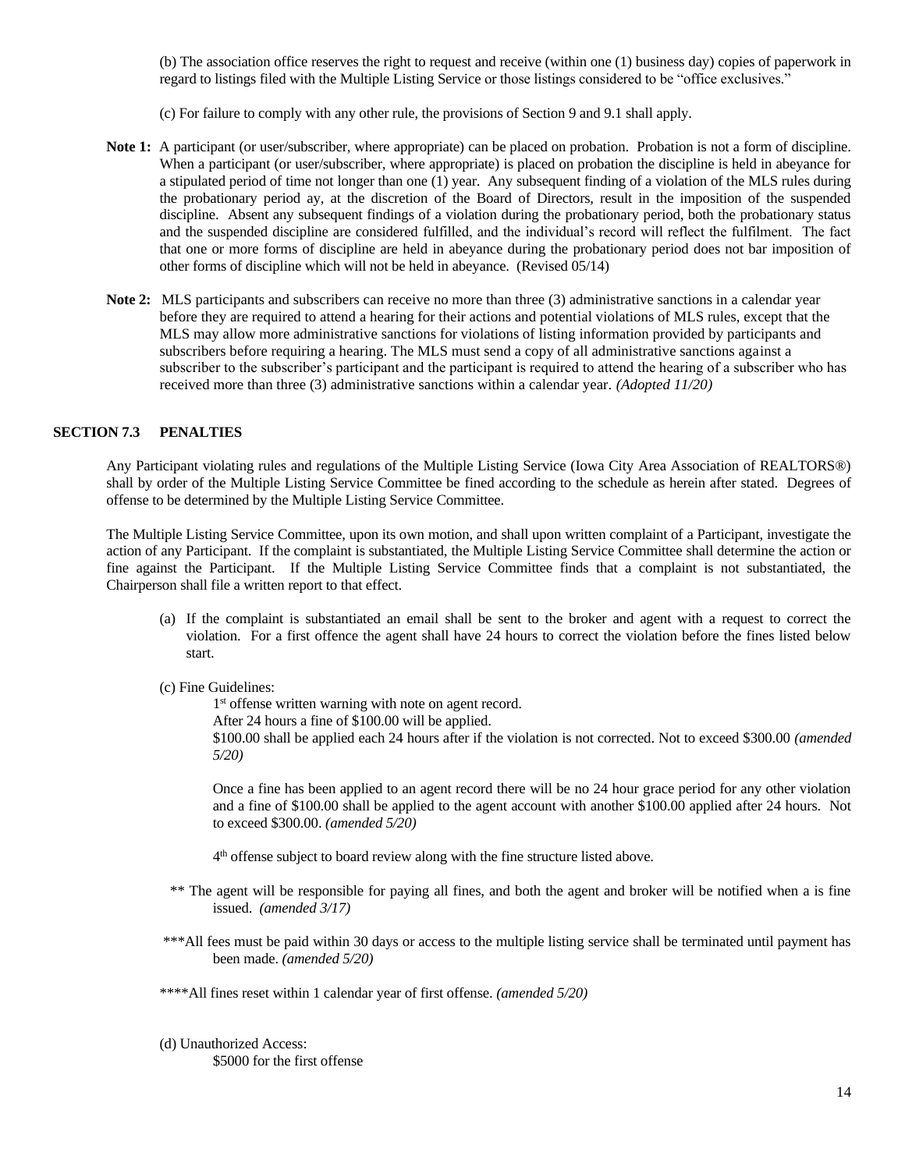(b) The association office reserves the right to request and receive (within one (1) business day) copies of paperwork in regard to listings filed with the Multiple Listing Service or those listings considered to be "office exclusives."

(c) For failure to comply with any other rule, the provisions of Section 9 and 9.1 shall apply.

- **Note 1:** A participant (or user/subscriber, where appropriate) can be placed on probation. Probation is not a form of discipline. When a participant (or user/subscriber, where appropriate) is placed on probation the discipline is held in abeyance for a stipulated period of time not longer than one (1) year. Any subsequent finding of a violation of the MLS rules during the probationary period ay, at the discretion of the Board of Directors, result in the imposition of the suspended discipline. Absent any subsequent findings of a violation during the probationary period, both the probationary status and the suspended discipline are considered fulfilled, and the individual's record will reflect the fulfilment. The fact that one or more forms of discipline are held in abeyance during the probationary period does not bar imposition of other forms of discipline which will not be held in abeyance. (Revised 05/14)
- **Note 2:** MLS participants and subscribers can receive no more than three (3) administrative sanctions in a calendar year before they are required to attend a hearing for their actions and potential violations of MLS rules, except that the MLS may allow more administrative sanctions for violations of listing information provided by participants and subscribers before requiring a hearing. The MLS must send a copy of all administrative sanctions against a subscriber to the subscriber's participant and the participant is required to attend the hearing of a subscriber who has received more than three (3) administrative sanctions within a calendar year. *(Adopted 11/20)*

### **SECTION 7.3 PENALTIES**

Any Participant violating rules and regulations of the Multiple Listing Service (Iowa City Area Association of REALTORS®) shall by order of the Multiple Listing Service Committee be fined according to the schedule as herein after stated. Degrees of offense to be determined by the Multiple Listing Service Committee.

The Multiple Listing Service Committee, upon its own motion, and shall upon written complaint of a Participant, investigate the action of any Participant. If the complaint is substantiated, the Multiple Listing Service Committee shall determine the action or fine against the Participant. If the Multiple Listing Service Committee finds that a complaint is not substantiated, the Chairperson shall file a written report to that effect.

(a) If the complaint is substantiated an email shall be sent to the broker and agent with a request to correct the violation. For a first offence the agent shall have 24 hours to correct the violation before the fines listed below start.

#### (c) Fine Guidelines:

1<sup>st</sup> offense written warning with note on agent record.

After 24 hours a fine of \$100.00 will be applied.

\$100.00 shall be applied each 24 hours after if the violation is not corrected. Not to exceed \$300.00 *(amended 5/20)*

Once a fine has been applied to an agent record there will be no 24 hour grace period for any other violation and a fine of \$100.00 shall be applied to the agent account with another \$100.00 applied after 24 hours. Not to exceed \$300.00. *(amended 5/20)*

4<sup>th</sup> offense subject to board review along with the fine structure listed above.

- \*\* The agent will be responsible for paying all fines, and both the agent and broker will be notified when a is fine issued. *(amended 3/17)*
- \*\*\*All fees must be paid within 30 days or access to the multiple listing service shall be terminated until payment has been made. *(amended 5/20)*
- \*\*\*\*All fines reset within 1 calendar year of first offense. *(amended 5/20)*

(d) Unauthorized Access: \$5000 for the first offense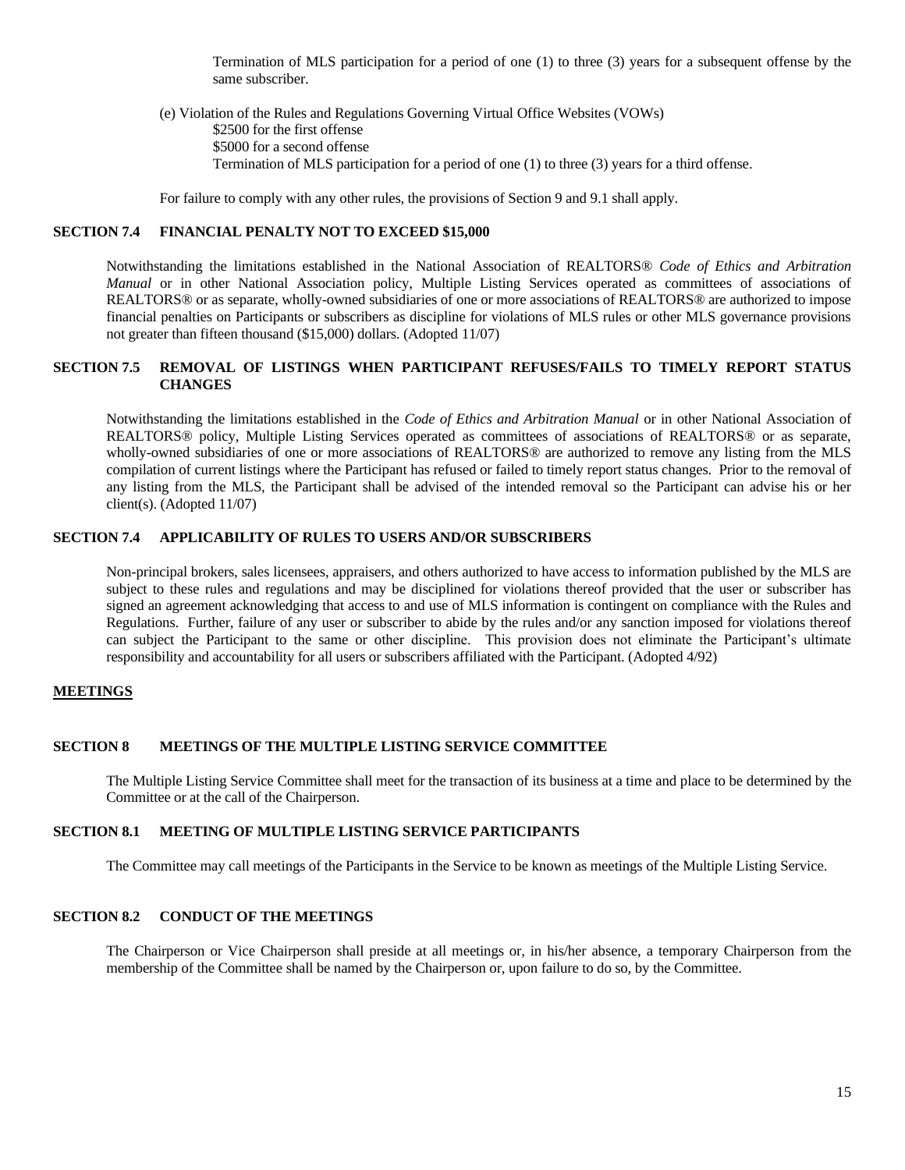Termination of MLS participation for a period of one (1) to three (3) years for a subsequent offense by the same subscriber.

(e) Violation of the Rules and Regulations Governing Virtual Office Websites (VOWs) \$2500 for the first offense \$5000 for a second offense Termination of MLS participation for a period of one (1) to three (3) years for a third offense.

For failure to comply with any other rules, the provisions of Section 9 and 9.1 shall apply.

## **SECTION 7.4 FINANCIAL PENALTY NOT TO EXCEED \$15,000**

Notwithstanding the limitations established in the National Association of REALTORS® *Code of Ethics and Arbitration Manual* or in other National Association policy, Multiple Listing Services operated as committees of associations of REALTORS® or as separate, wholly-owned subsidiaries of one or more associations of REALTORS® are authorized to impose financial penalties on Participants or subscribers as discipline for violations of MLS rules or other MLS governance provisions not greater than fifteen thousand (\$15,000) dollars. (Adopted 11/07)

## **SECTION 7.5 REMOVAL OF LISTINGS WHEN PARTICIPANT REFUSES/FAILS TO TIMELY REPORT STATUS CHANGES**

Notwithstanding the limitations established in the *Code of Ethics and Arbitration Manual* or in other National Association of REALTORS® policy, Multiple Listing Services operated as committees of associations of REALTORS® or as separate, wholly-owned subsidiaries of one or more associations of REALTORS<sup>®</sup> are authorized to remove any listing from the MLS compilation of current listings where the Participant has refused or failed to timely report status changes. Prior to the removal of any listing from the MLS, the Participant shall be advised of the intended removal so the Participant can advise his or her client(s). (Adopted 11/07)

### **SECTION 7.4 APPLICABILITY OF RULES TO USERS AND/OR SUBSCRIBERS**

<span id="page-14-0"></span>Non-principal brokers, sales licensees, appraisers, and others authorized to have access to information published by the MLS are subject to these rules and regulations and may be disciplined for violations thereof provided that the user or subscriber has signed an agreement acknowledging that access to and use of MLS information is contingent on compliance with the Rules and Regulations. Further, failure of any user or subscriber to abide by the rules and/or any sanction imposed for violations thereof can subject the Participant to the same or other discipline. This provision does not eliminate the Participant's ultimate responsibility and accountability for all users or subscribers affiliated with the Participant. (Adopted 4/92)

### **MEETINGS**

#### **SECTION 8 MEETINGS OF THE MULTIPLE LISTING SERVICE COMMITTEE**

The Multiple Listing Service Committee shall meet for the transaction of its business at a time and place to be determined by the Committee or at the call of the Chairperson.

#### **SECTION 8.1 MEETING OF MULTIPLE LISTING SERVICE PARTICIPANTS**

The Committee may call meetings of the Participants in the Service to be known as meetings of the Multiple Listing Service.

### **SECTION 8.2 CONDUCT OF THE MEETINGS**

The Chairperson or Vice Chairperson shall preside at all meetings or, in his/her absence, a temporary Chairperson from the membership of the Committee shall be named by the Chairperson or, upon failure to do so, by the Committee.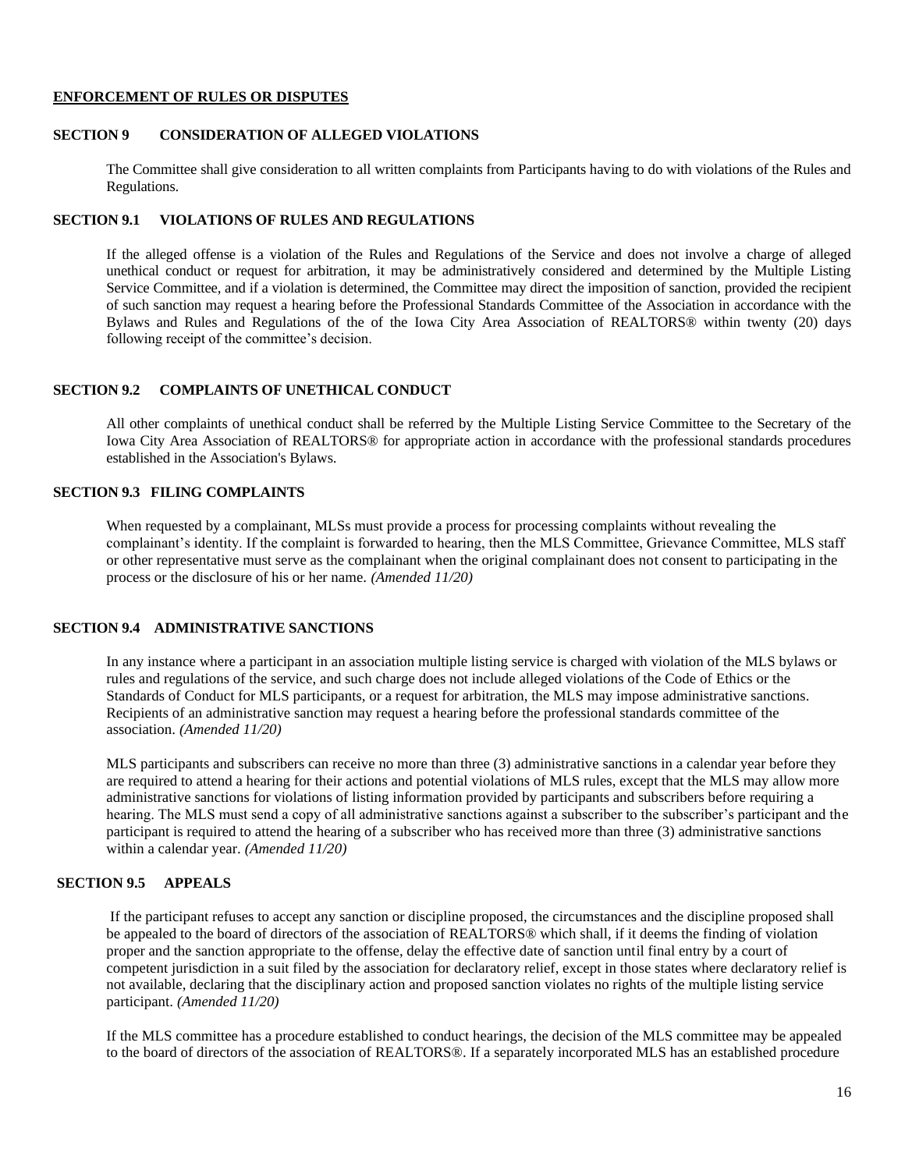#### <span id="page-15-0"></span>**ENFORCEMENT OF RULES OR DISPUTES**

## **SECTION 9 CONSIDERATION OF ALLEGED VIOLATIONS**

The Committee shall give consideration to all written complaints from Participants having to do with violations of the Rules and Regulations.

# **SECTION 9.1 VIOLATIONS OF RULES AND REGULATIONS**

If the alleged offense is a violation of the Rules and Regulations of the Service and does not involve a charge of alleged unethical conduct or request for arbitration, it may be administratively considered and determined by the Multiple Listing Service Committee, and if a violation is determined, the Committee may direct the imposition of sanction, provided the recipient of such sanction may request a hearing before the Professional Standards Committee of the Association in accordance with the Bylaws and Rules and Regulations of the of the Iowa City Area Association of REALTORS® within twenty (20) days following receipt of the committee's decision.

# **SECTION 9.2 COMPLAINTS OF UNETHICAL CONDUCT**

All other complaints of unethical conduct shall be referred by the Multiple Listing Service Committee to the Secretary of the Iowa City Area Association of REALTORS® for appropriate action in accordance with the professional standards procedures established in the Association's Bylaws.

# **SECTION 9.3 FILING COMPLAINTS**

When requested by a complainant, MLSs must provide a process for processing complaints without revealing the complainant's identity. If the complaint is forwarded to hearing, then the MLS Committee, Grievance Committee, MLS staff or other representative must serve as the complainant when the original complainant does not consent to participating in the process or the disclosure of his or her name. *(Amended 11/20)*

# **SECTION 9.4 ADMINISTRATIVE SANCTIONS**

In any instance where a participant in an association multiple listing service is charged with violation of the MLS bylaws or rules and regulations of the service, and such charge does not include alleged violations of the Code of Ethics or the Standards of Conduct for MLS participants, or a request for arbitration, the MLS may impose administrative sanctions. Recipients of an administrative sanction may request a hearing before the professional standards committee of the association. *(Amended 11/20)*

MLS participants and subscribers can receive no more than three (3) administrative sanctions in a calendar year before they are required to attend a hearing for their actions and potential violations of MLS rules, except that the MLS may allow more administrative sanctions for violations of listing information provided by participants and subscribers before requiring a hearing. The MLS must send a copy of all administrative sanctions against a subscriber to the subscriber's participant and the participant is required to attend the hearing of a subscriber who has received more than three (3) administrative sanctions within a calendar year. *(Amended 11/20)*

# **SECTION 9.5 APPEALS**

If the participant refuses to accept any sanction or discipline proposed, the circumstances and the discipline proposed shall be appealed to the board of directors of the association of REALTORS® which shall, if it deems the finding of violation proper and the sanction appropriate to the offense, delay the effective date of sanction until final entry by a court of competent jurisdiction in a suit filed by the association for declaratory relief, except in those states where declaratory relief is not available, declaring that the disciplinary action and proposed sanction violates no rights of the multiple listing service participant. *(Amended 11/20)*

If the MLS committee has a procedure established to conduct hearings, the decision of the MLS committee may be appealed to the board of directors of the association of REALTORS®. If a separately incorporated MLS has an established procedure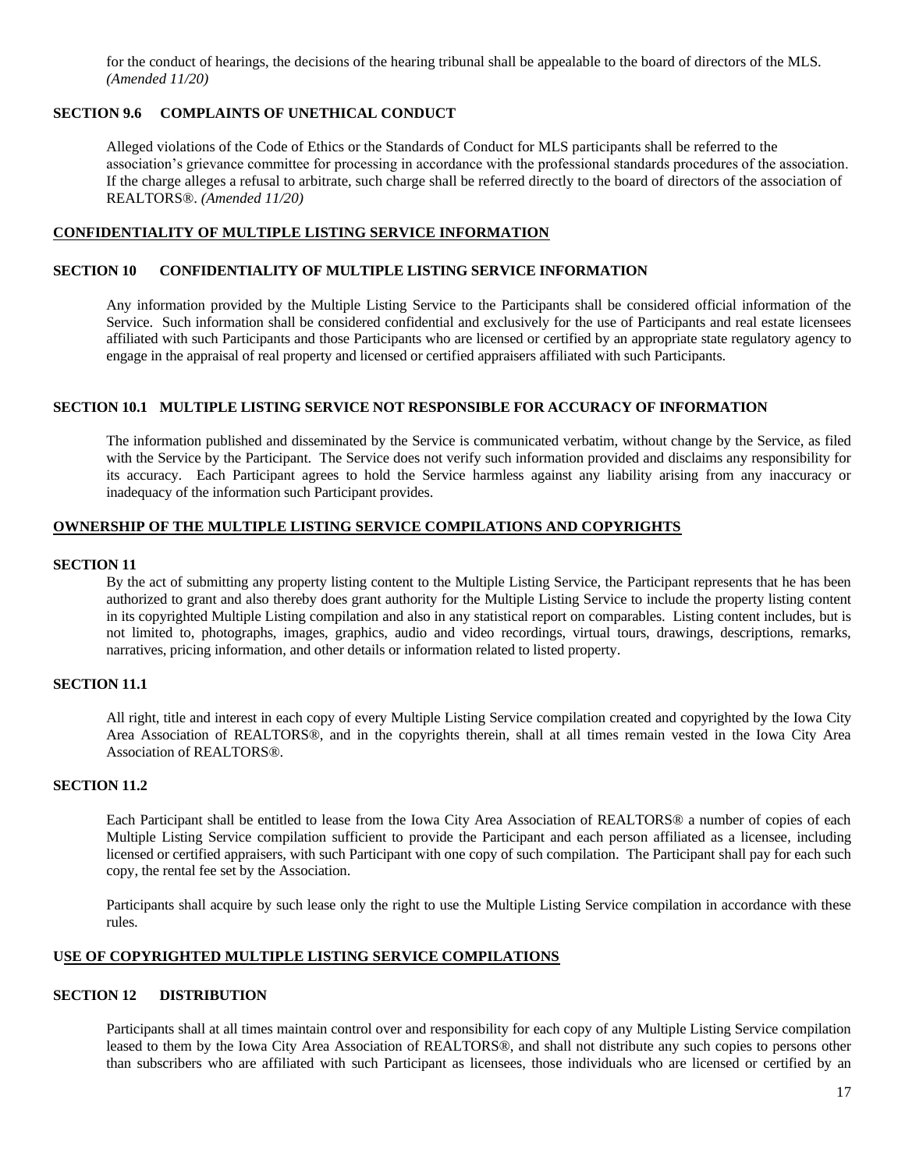for the conduct of hearings, the decisions of the hearing tribunal shall be appealable to the board of directors of the MLS. *(Amended 11/20)*

## **SECTION 9.6 COMPLAINTS OF UNETHICAL CONDUCT**

Alleged violations of the Code of Ethics or the Standards of Conduct for MLS participants shall be referred to the association's grievance committee for processing in accordance with the professional standards procedures of the association. If the charge alleges a refusal to arbitrate, such charge shall be referred directly to the board of directors of the association of REALTORS®. *(Amended 11/20)*

## <span id="page-16-0"></span>**CONFIDENTIALITY OF MULTIPLE LISTING SERVICE INFORMATION**

# **SECTION 10 CONFIDENTIALITY OF MULTIPLE LISTING SERVICE INFORMATION**

Any information provided by the Multiple Listing Service to the Participants shall be considered official information of the Service. Such information shall be considered confidential and exclusively for the use of Participants and real estate licensees affiliated with such Participants and those Participants who are licensed or certified by an appropriate state regulatory agency to engage in the appraisal of real property and licensed or certified appraisers affiliated with such Participants.

## **SECTION 10.1 MULTIPLE LISTING SERVICE NOT RESPONSIBLE FOR ACCURACY OF INFORMATION**

The information published and disseminated by the Service is communicated verbatim, without change by the Service, as filed with the Service by the Participant. The Service does not verify such information provided and disclaims any responsibility for its accuracy. Each Participant agrees to hold the Service harmless against any liability arising from any inaccuracy or inadequacy of the information such Participant provides.

### <span id="page-16-1"></span>**OWNERSHIP OF THE MULTIPLE LISTING SERVICE COMPILATIONS AND COPYRIGHTS**

#### **SECTION 11**

By the act of submitting any property listing content to the Multiple Listing Service, the Participant represents that he has been authorized to grant and also thereby does grant authority for the Multiple Listing Service to include the property listing content in its copyrighted Multiple Listing compilation and also in any statistical report on comparables. Listing content includes, but is not limited to, photographs, images, graphics, audio and video recordings, virtual tours, drawings, descriptions, remarks, narratives, pricing information, and other details or information related to listed property.

## **SECTION 11.1**

All right, title and interest in each copy of every Multiple Listing Service compilation created and copyrighted by the Iowa City Area Association of REALTORS®, and in the copyrights therein, shall at all times remain vested in the Iowa City Area Association of REALTORS®.

### **SECTION 11.2**

Each Participant shall be entitled to lease from the Iowa City Area Association of REALTORS® a number of copies of each Multiple Listing Service compilation sufficient to provide the Participant and each person affiliated as a licensee, including licensed or certified appraisers, with such Participant with one copy of such compilation. The Participant shall pay for each such copy, the rental fee set by the Association.

Participants shall acquire by such lease only the right to use the Multiple Listing Service compilation in accordance with these rules.

## <span id="page-16-2"></span>**USE OF COPYRIGHTED MULTIPLE LISTING SERVICE COMPILATIONS**

### **SECTION 12 DISTRIBUTION**

Participants shall at all times maintain control over and responsibility for each copy of any Multiple Listing Service compilation leased to them by the Iowa City Area Association of REALTORS®, and shall not distribute any such copies to persons other than subscribers who are affiliated with such Participant as licensees, those individuals who are licensed or certified by an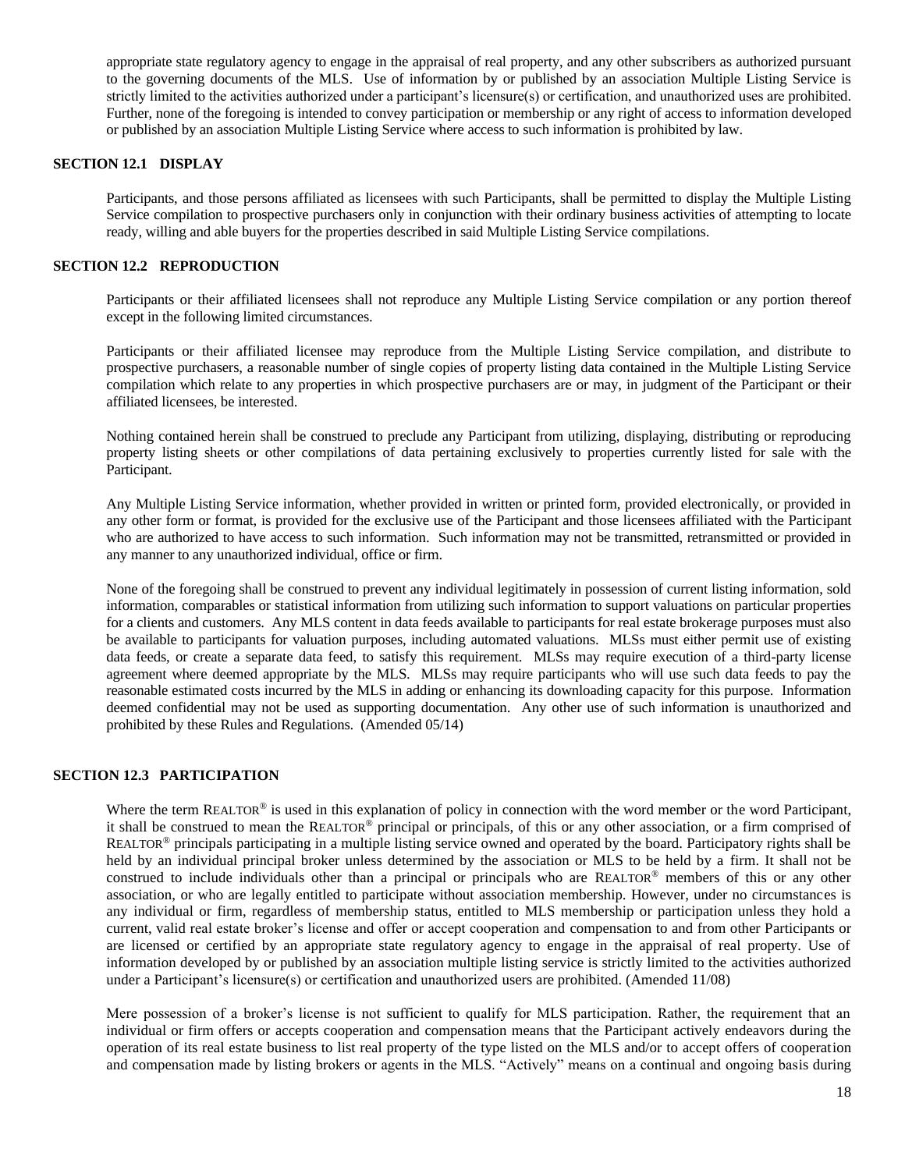appropriate state regulatory agency to engage in the appraisal of real property, and any other subscribers as authorized pursuant to the governing documents of the MLS. Use of information by or published by an association Multiple Listing Service is strictly limited to the activities authorized under a participant's licensure(s) or certification, and unauthorized uses are prohibited. Further, none of the foregoing is intended to convey participation or membership or any right of access to information developed or published by an association Multiple Listing Service where access to such information is prohibited by law.

### **SECTION 12.1 DISPLAY**

Participants, and those persons affiliated as licensees with such Participants, shall be permitted to display the Multiple Listing Service compilation to prospective purchasers only in conjunction with their ordinary business activities of attempting to locate ready, willing and able buyers for the properties described in said Multiple Listing Service compilations.

### **SECTION 12.2 REPRODUCTION**

Participants or their affiliated licensees shall not reproduce any Multiple Listing Service compilation or any portion thereof except in the following limited circumstances.

Participants or their affiliated licensee may reproduce from the Multiple Listing Service compilation, and distribute to prospective purchasers, a reasonable number of single copies of property listing data contained in the Multiple Listing Service compilation which relate to any properties in which prospective purchasers are or may, in judgment of the Participant or their affiliated licensees, be interested.

Nothing contained herein shall be construed to preclude any Participant from utilizing, displaying, distributing or reproducing property listing sheets or other compilations of data pertaining exclusively to properties currently listed for sale with the Participant.

Any Multiple Listing Service information, whether provided in written or printed form, provided electronically, or provided in any other form or format, is provided for the exclusive use of the Participant and those licensees affiliated with the Participant who are authorized to have access to such information. Such information may not be transmitted, retransmitted or provided in any manner to any unauthorized individual, office or firm.

None of the foregoing shall be construed to prevent any individual legitimately in possession of current listing information, sold information, comparables or statistical information from utilizing such information to support valuations on particular properties for a clients and customers. Any MLS content in data feeds available to participants for real estate brokerage purposes must also be available to participants for valuation purposes, including automated valuations. MLSs must either permit use of existing data feeds, or create a separate data feed, to satisfy this requirement. MLSs may require execution of a third-party license agreement where deemed appropriate by the MLS. MLSs may require participants who will use such data feeds to pay the reasonable estimated costs incurred by the MLS in adding or enhancing its downloading capacity for this purpose. Information deemed confidential may not be used as supporting documentation. Any other use of such information is unauthorized and prohibited by these Rules and Regulations. (Amended 05/14)

### **SECTION 12.3 PARTICIPATION**

Where the term REALTOR<sup>®</sup> is used in this explanation of policy in connection with the word member or the word Participant, it shall be construed to mean the REALTOR® principal or principals, of this or any other association, or a firm comprised of REALTOR® principals participating in a multiple listing service owned and operated by the board. Participatory rights shall be held by an individual principal broker unless determined by the association or MLS to be held by a firm. It shall not be construed to include individuals other than a principal or principals who are REALTOR<sup>®</sup> members of this or any other association, or who are legally entitled to participate without association membership. However, under no circumstances is any individual or firm, regardless of membership status, entitled to MLS membership or participation unless they hold a current, valid real estate broker's license and offer or accept cooperation and compensation to and from other Participants or are licensed or certified by an appropriate state regulatory agency to engage in the appraisal of real property. Use of information developed by or published by an association multiple listing service is strictly limited to the activities authorized under a Participant's licensure(s) or certification and unauthorized users are prohibited. (Amended 11/08)

Mere possession of a broker's license is not sufficient to qualify for MLS participation. Rather, the requirement that an individual or firm offers or accepts cooperation and compensation means that the Participant actively endeavors during the operation of its real estate business to list real property of the type listed on the MLS and/or to accept offers of cooperation and compensation made by listing brokers or agents in the MLS. "Actively" means on a continual and ongoing basis during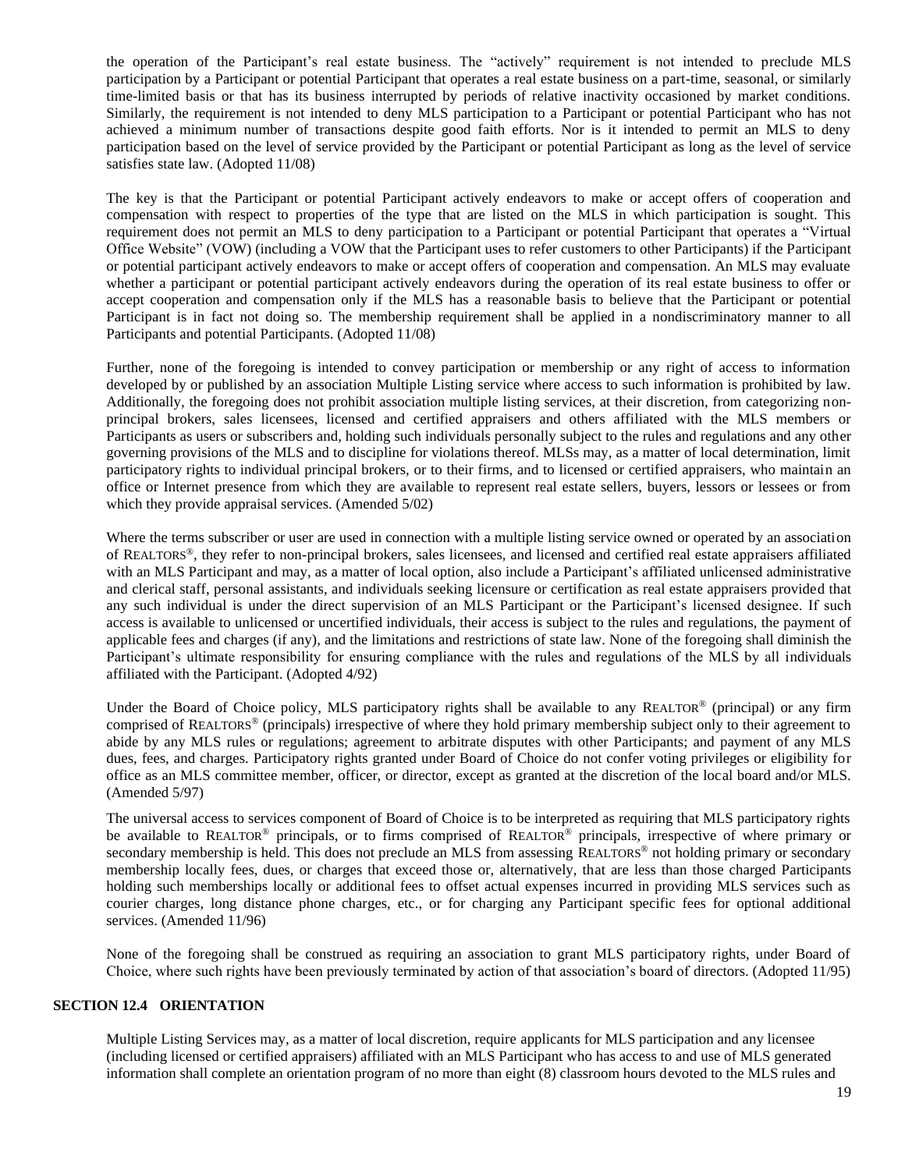the operation of the Participant's real estate business. The "actively" requirement is not intended to preclude MLS participation by a Participant or potential Participant that operates a real estate business on a part-time, seasonal, or similarly time-limited basis or that has its business interrupted by periods of relative inactivity occasioned by market conditions. Similarly, the requirement is not intended to deny MLS participation to a Participant or potential Participant who has not achieved a minimum number of transactions despite good faith efforts. Nor is it intended to permit an MLS to deny participation based on the level of service provided by the Participant or potential Participant as long as the level of service satisfies state law. (Adopted 11/08)

The key is that the Participant or potential Participant actively endeavors to make or accept offers of cooperation and compensation with respect to properties of the type that are listed on the MLS in which participation is sought. This requirement does not permit an MLS to deny participation to a Participant or potential Participant that operates a "Virtual Office Website" (VOW) (including a VOW that the Participant uses to refer customers to other Participants) if the Participant or potential participant actively endeavors to make or accept offers of cooperation and compensation. An MLS may evaluate whether a participant or potential participant actively endeavors during the operation of its real estate business to offer or accept cooperation and compensation only if the MLS has a reasonable basis to believe that the Participant or potential Participant is in fact not doing so. The membership requirement shall be applied in a nondiscriminatory manner to all Participants and potential Participants. (Adopted 11/08)

Further, none of the foregoing is intended to convey participation or membership or any right of access to information developed by or published by an association Multiple Listing service where access to such information is prohibited by law. Additionally, the foregoing does not prohibit association multiple listing services, at their discretion, from categorizing nonprincipal brokers, sales licensees, licensed and certified appraisers and others affiliated with the MLS members or Participants as users or subscribers and, holding such individuals personally subject to the rules and regulations and any other governing provisions of the MLS and to discipline for violations thereof. MLSs may, as a matter of local determination, limit participatory rights to individual principal brokers, or to their firms, and to licensed or certified appraisers, who maintain an office or Internet presence from which they are available to represent real estate sellers, buyers, lessors or lessees or from which they provide appraisal services. (Amended 5/02)

Where the terms subscriber or user are used in connection with a multiple listing service owned or operated by an association of REALTORS®, they refer to non-principal brokers, sales licensees, and licensed and certified real estate appraisers affiliated with an MLS Participant and may, as a matter of local option, also include a Participant's affiliated unlicensed administrative and clerical staff, personal assistants, and individuals seeking licensure or certification as real estate appraisers provided that any such individual is under the direct supervision of an MLS Participant or the Participant's licensed designee. If such access is available to unlicensed or uncertified individuals, their access is subject to the rules and regulations, the payment of applicable fees and charges (if any), and the limitations and restrictions of state law. None of the foregoing shall diminish the Participant's ultimate responsibility for ensuring compliance with the rules and regulations of the MLS by all individuals affiliated with the Participant. (Adopted 4/92)

Under the Board of Choice policy, MLS participatory rights shall be available to any REALTOR® (principal) or any firm comprised of REALTORS® (principals) irrespective of where they hold primary membership subject only to their agreement to abide by any MLS rules or regulations; agreement to arbitrate disputes with other Participants; and payment of any MLS dues, fees, and charges. Participatory rights granted under Board of Choice do not confer voting privileges or eligibility for office as an MLS committee member, officer, or director, except as granted at the discretion of the local board and/or MLS. (Amended 5/97)

The universal access to services component of Board of Choice is to be interpreted as requiring that MLS participatory rights be available to REALTOR® principals, or to firms comprised of REALTOR® principals, irrespective of where primary or secondary membership is held. This does not preclude an MLS from assessing REALTORS<sup>®</sup> not holding primary or secondary membership locally fees, dues, or charges that exceed those or, alternatively, that are less than those charged Participants holding such memberships locally or additional fees to offset actual expenses incurred in providing MLS services such as courier charges, long distance phone charges, etc., or for charging any Participant specific fees for optional additional services. (Amended 11/96)

None of the foregoing shall be construed as requiring an association to grant MLS participatory rights, under Board of Choice, where such rights have been previously terminated by action of that association's board of directors. (Adopted 11/95)

### **SECTION 12.4 ORIENTATION**

Multiple Listing Services may, as a matter of local discretion, require applicants for MLS participation and any licensee (including licensed or certified appraisers) affiliated with an MLS Participant who has access to and use of MLS generated information shall complete an orientation program of no more than eight (8) classroom hours devoted to the MLS rules and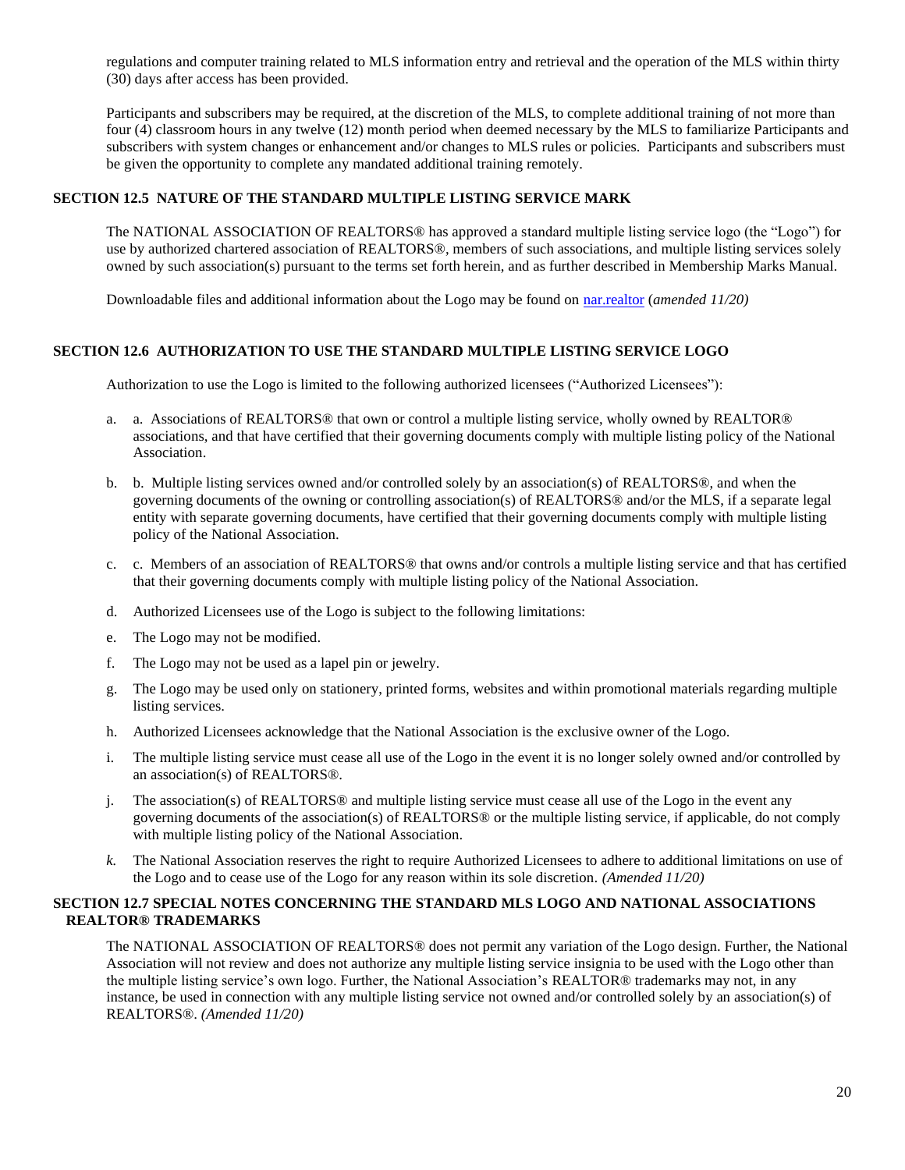regulations and computer training related to MLS information entry and retrieval and the operation of the MLS within thirty (30) days after access has been provided.

Participants and subscribers may be required, at the discretion of the MLS, to complete additional training of not more than four (4) classroom hours in any twelve (12) month period when deemed necessary by the MLS to familiarize Participants and subscribers with system changes or enhancement and/or changes to MLS rules or policies. Participants and subscribers must be given the opportunity to complete any mandated additional training remotely.

# **SECTION 12.5 NATURE OF THE STANDARD MULTIPLE LISTING SERVICE MARK**

The NATIONAL ASSOCIATION OF REALTORS® has approved a standard multiple listing service logo (the "Logo") for use by authorized chartered association of REALTORS®, members of such associations, and multiple listing services solely owned by such association(s) pursuant to the terms set forth herein, and as further described in Membership Marks Manual.

Downloadable files and additional information about the Logo may be found on [nar.realtor](https://www.nar.realtor/login) (*amended 11/20)*

### **SECTION 12.6 AUTHORIZATION TO USE THE STANDARD MULTIPLE LISTING SERVICE LOGO**

Authorization to use the Logo is limited to the following authorized licensees ("Authorized Licensees"):

- a. a. Associations of REALTORS® that own or control a multiple listing service, wholly owned by REALTOR® associations, and that have certified that their governing documents comply with multiple listing policy of the National Association.
- b. b. Multiple listing services owned and/or controlled solely by an association(s) of REALTORS®, and when the governing documents of the owning or controlling association(s) of REALTORS® and/or the MLS, if a separate legal entity with separate governing documents, have certified that their governing documents comply with multiple listing policy of the National Association.
- c. c. Members of an association of REALTORS® that owns and/or controls a multiple listing service and that has certified that their governing documents comply with multiple listing policy of the National Association.
- d. Authorized Licensees use of the Logo is subject to the following limitations:
- e. The Logo may not be modified.
- f. The Logo may not be used as a lapel pin or jewelry.
- g. The Logo may be used only on stationery, printed forms, websites and within promotional materials regarding multiple listing services.
- h. Authorized Licensees acknowledge that the National Association is the exclusive owner of the Logo.
- i. The multiple listing service must cease all use of the Logo in the event it is no longer solely owned and/or controlled by an association(s) of REALTORS®.
- j. The association(s) of REALTORS® and multiple listing service must cease all use of the Logo in the event any governing documents of the association(s) of REALTORS® or the multiple listing service, if applicable, do not comply with multiple listing policy of the National Association.
- *k.* The National Association reserves the right to require Authorized Licensees to adhere to additional limitations on use of the Logo and to cease use of the Logo for any reason within its sole discretion. *(Amended 11/20)*

### **SECTION 12.7 SPECIAL NOTES CONCERNING THE STANDARD MLS LOGO AND NATIONAL ASSOCIATIONS REALTOR® TRADEMARKS**

The NATIONAL ASSOCIATION OF REALTORS® does not permit any variation of the Logo design. Further, the National Association will not review and does not authorize any multiple listing service insignia to be used with the Logo other than the multiple listing service's own logo. Further, the National Association's REALTOR® trademarks may not, in any instance, be used in connection with any multiple listing service not owned and/or controlled solely by an association(s) of REALTORS®. *(Amended 11/20)*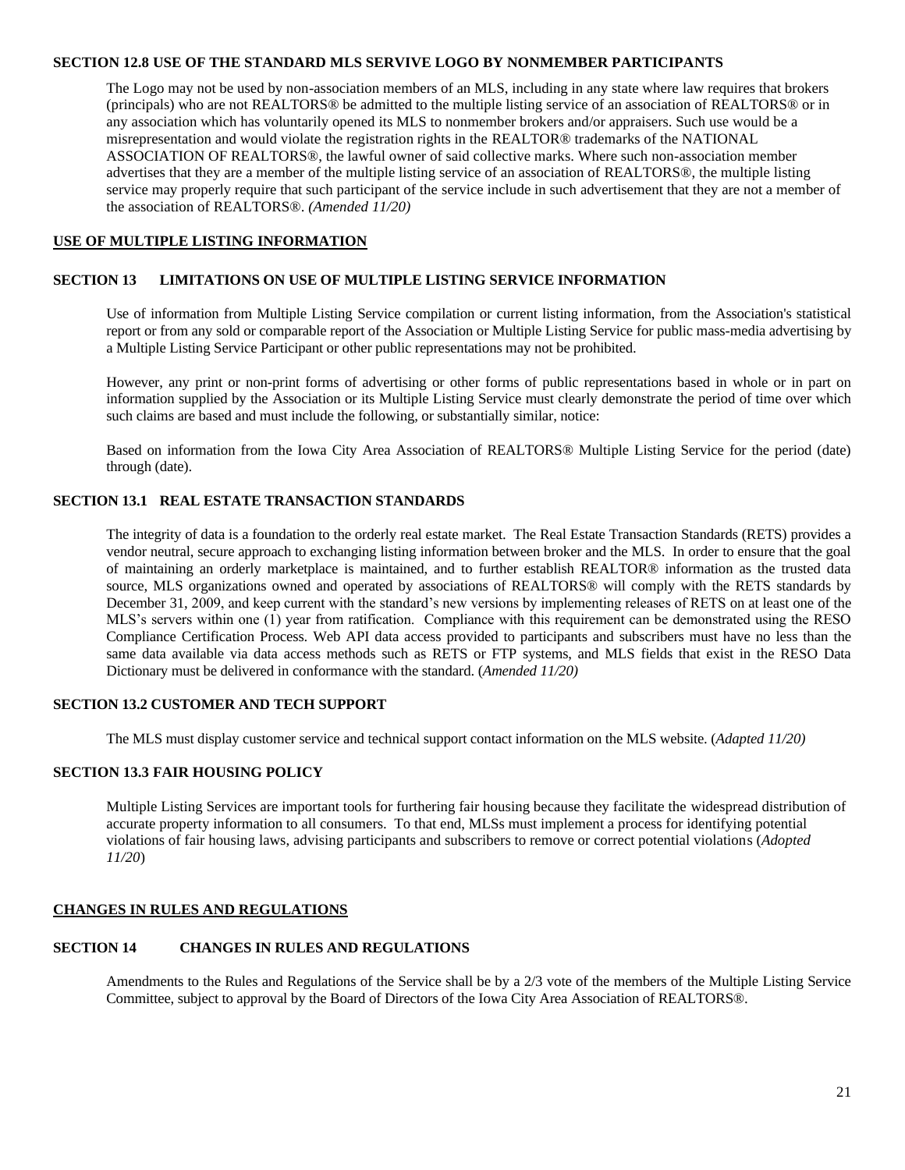#### **SECTION 12.8 USE OF THE STANDARD MLS SERVIVE LOGO BY NONMEMBER PARTICIPANTS**

The Logo may not be used by non-association members of an MLS, including in any state where law requires that brokers (principals) who are not REALTORS® be admitted to the multiple listing service of an association of REALTORS® or in any association which has voluntarily opened its MLS to nonmember brokers and/or appraisers. Such use would be a misrepresentation and would violate the registration rights in the REALTOR® trademarks of the NATIONAL ASSOCIATION OF REALTORS®, the lawful owner of said collective marks. Where such non-association member advertises that they are a member of the multiple listing service of an association of REALTORS®, the multiple listing service may properly require that such participant of the service include in such advertisement that they are not a member of the association of REALTORS®. *(Amended 11/20)*

### <span id="page-20-0"></span>**USE OF MULTIPLE LISTING INFORMATION**

### **SECTION 13 LIMITATIONS ON USE OF MULTIPLE LISTING SERVICE INFORMATION**

Use of information from Multiple Listing Service compilation or current listing information, from the Association's statistical report or from any sold or comparable report of the Association or Multiple Listing Service for public mass-media advertising by a Multiple Listing Service Participant or other public representations may not be prohibited.

However, any print or non-print forms of advertising or other forms of public representations based in whole or in part on information supplied by the Association or its Multiple Listing Service must clearly demonstrate the period of time over which such claims are based and must include the following, or substantially similar, notice:

Based on information from the Iowa City Area Association of REALTORS® Multiple Listing Service for the period (date) through (date).

### **SECTION 13.1 REAL ESTATE TRANSACTION STANDARDS**

The integrity of data is a foundation to the orderly real estate market. The Real Estate Transaction Standards (RETS) provides a vendor neutral, secure approach to exchanging listing information between broker and the MLS. In order to ensure that the goal of maintaining an orderly marketplace is maintained, and to further establish REALTOR® information as the trusted data source, MLS organizations owned and operated by associations of REALTORS® will comply with the RETS standards by December 31, 2009, and keep current with the standard's new versions by implementing releases of RETS on at least one of the MLS's servers within one (1) year from ratification. Compliance with this requirement can be demonstrated using the RESO Compliance Certification Process. Web API data access provided to participants and subscribers must have no less than the same data available via data access methods such as RETS or FTP systems, and MLS fields that exist in the RESO Data Dictionary must be delivered in conformance with the standard. (*Amended 11/20)*

### **SECTION 13.2 CUSTOMER AND TECH SUPPORT**

<span id="page-20-1"></span>The MLS must display customer service and technical support contact information on the MLS website. (*Adapted 11/20)*

## **SECTION 13.3 FAIR HOUSING POLICY**

Multiple Listing Services are important tools for furthering fair housing because they facilitate the widespread distribution of accurate property information to all consumers. To that end, MLSs must implement a process for identifying potential violations of fair housing laws, advising participants and subscribers to remove or correct potential violations (*Adopted 11/20*)

### **CHANGES IN RULES AND REGULATIONS**

#### **SECTION 14 CHANGES IN RULES AND REGULATIONS**

Amendments to the Rules and Regulations of the Service shall be by a 2/3 vote of the members of the Multiple Listing Service Committee, subject to approval by the Board of Directors of the Iowa City Area Association of REALTORS®.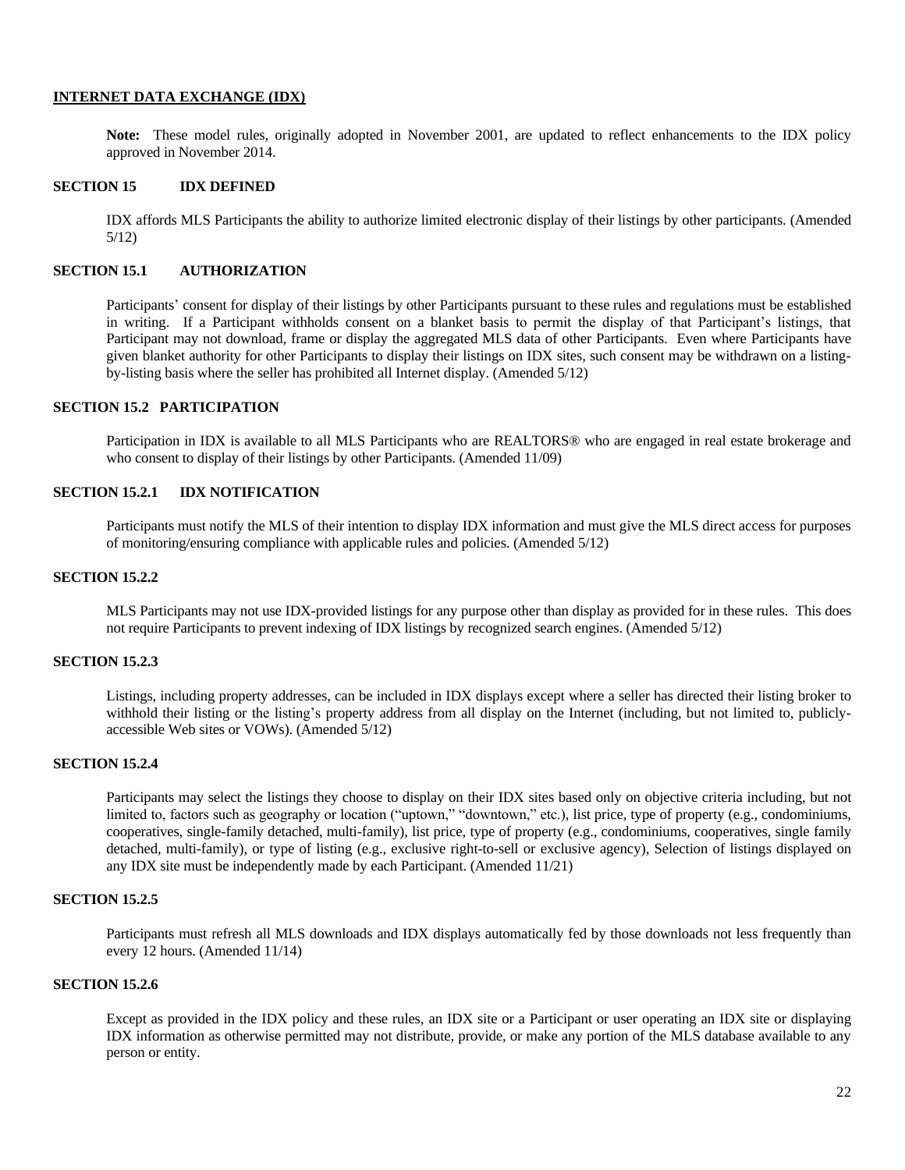### <span id="page-21-0"></span>**INTERNET DATA EXCHANGE (IDX)**

**Note:** These model rules, originally adopted in November 2001, are updated to reflect enhancements to the IDX policy approved in November 2014.

### **SECTION 15 IDX DEFINED**

IDX affords MLS Participants the ability to authorize limited electronic display of their listings by other participants. (Amended 5/12)

### **SECTION 15.1 AUTHORIZATION**

Participants' consent for display of their listings by other Participants pursuant to these rules and regulations must be established in writing. If a Participant withholds consent on a blanket basis to permit the display of that Participant's listings, that Participant may not download, frame or display the aggregated MLS data of other Participants. Even where Participants have given blanket authority for other Participants to display their listings on IDX sites, such consent may be withdrawn on a listingby-listing basis where the seller has prohibited all Internet display. (Amended 5/12)

### **SECTION 15.2 PARTICIPATION**

Participation in IDX is available to all MLS Participants who are REALTORS® who are engaged in real estate brokerage and who consent to display of their listings by other Participants. (Amended 11/09)

### **SECTION 15.2.1 IDX NOTIFICATION**

Participants must notify the MLS of their intention to display IDX information and must give the MLS direct access for purposes of monitoring/ensuring compliance with applicable rules and policies. (Amended 5/12)

### **SECTION 15.2.2**

MLS Participants may not use IDX-provided listings for any purpose other than display as provided for in these rules. This does not require Participants to prevent indexing of IDX listings by recognized search engines. (Amended 5/12)

#### **SECTION 15.2.3**

Listings, including property addresses, can be included in IDX displays except where a seller has directed their listing broker to withhold their listing or the listing's property address from all display on the Internet (including, but not limited to, publiclyaccessible Web sites or VOWs). (Amended 5/12)

### **SECTION 15.2.4**

Participants may select the listings they choose to display on their IDX sites based only on objective criteria including, but not limited to, factors such as geography or location ("uptown," "downtown," etc.), list price, type of property (e.g., condominiums, cooperatives, single-family detached, multi-family), list price, type of property (e.g., condominiums, cooperatives, single family detached, multi-family), or type of listing (e.g., exclusive right-to-sell or exclusive agency), Selection of listings displayed on any IDX site must be independently made by each Participant. (Amended 11/21)

### **SECTION 15.2.5**

Participants must refresh all MLS downloads and IDX displays automatically fed by those downloads not less frequently than every 12 hours. (Amended 11/14)

### **SECTION 15.2.6**

Except as provided in the IDX policy and these rules, an IDX site or a Participant or user operating an IDX site or displaying IDX information as otherwise permitted may not distribute, provide, or make any portion of the MLS database available to any person or entity.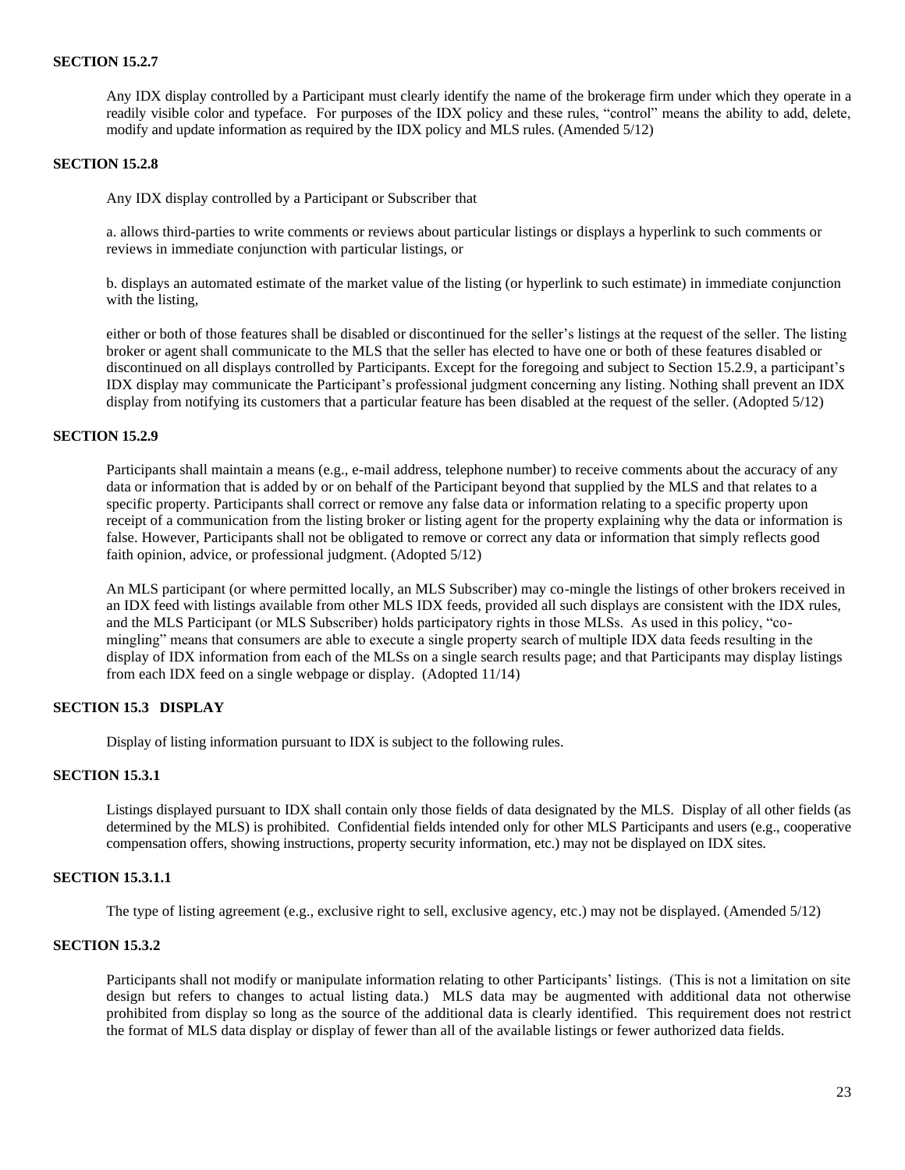#### **SECTION 15.2.7**

Any IDX display controlled by a Participant must clearly identify the name of the brokerage firm under which they operate in a readily visible color and typeface. For purposes of the IDX policy and these rules, "control" means the ability to add, delete, modify and update information as required by the IDX policy and MLS rules. (Amended 5/12)

#### **SECTION 15.2.8**

Any IDX display controlled by a Participant or Subscriber that

a. allows third-parties to write comments or reviews about particular listings or displays a hyperlink to such comments or reviews in immediate conjunction with particular listings, or

b. displays an automated estimate of the market value of the listing (or hyperlink to such estimate) in immediate conjunction with the listing,

either or both of those features shall be disabled or discontinued for the seller's listings at the request of the seller. The listing broker or agent shall communicate to the MLS that the seller has elected to have one or both of these features disabled or discontinued on all displays controlled by Participants. Except for the foregoing and subject to Section 15.2.9, a participant's IDX display may communicate the Participant's professional judgment concerning any listing. Nothing shall prevent an IDX display from notifying its customers that a particular feature has been disabled at the request of the seller. (Adopted 5/12)

#### **SECTION 15.2.9**

Participants shall maintain a means (e.g., e-mail address, telephone number) to receive comments about the accuracy of any data or information that is added by or on behalf of the Participant beyond that supplied by the MLS and that relates to a specific property. Participants shall correct or remove any false data or information relating to a specific property upon receipt of a communication from the listing broker or listing agent for the property explaining why the data or information is false. However, Participants shall not be obligated to remove or correct any data or information that simply reflects good faith opinion, advice, or professional judgment. (Adopted 5/12)

An MLS participant (or where permitted locally, an MLS Subscriber) may co-mingle the listings of other brokers received in an IDX feed with listings available from other MLS IDX feeds, provided all such displays are consistent with the IDX rules, and the MLS Participant (or MLS Subscriber) holds participatory rights in those MLSs. As used in this policy, "comingling" means that consumers are able to execute a single property search of multiple IDX data feeds resulting in the display of IDX information from each of the MLSs on a single search results page; and that Participants may display listings from each IDX feed on a single webpage or display. (Adopted 11/14)

## **SECTION 15.3 DISPLAY**

Display of listing information pursuant to IDX is subject to the following rules.

### **SECTION 15.3.1**

Listings displayed pursuant to IDX shall contain only those fields of data designated by the MLS. Display of all other fields (as determined by the MLS) is prohibited. Confidential fields intended only for other MLS Participants and users (e.g., cooperative compensation offers, showing instructions, property security information, etc.) may not be displayed on IDX sites.

### **SECTION 15.3.1.1**

The type of listing agreement (e.g., exclusive right to sell, exclusive agency, etc.) may not be displayed. (Amended 5/12)

### **SECTION 15.3.2**

Participants shall not modify or manipulate information relating to other Participants' listings. (This is not a limitation on site design but refers to changes to actual listing data.) MLS data may be augmented with additional data not otherwise prohibited from display so long as the source of the additional data is clearly identified. This requirement does not restrict the format of MLS data display or display of fewer than all of the available listings or fewer authorized data fields.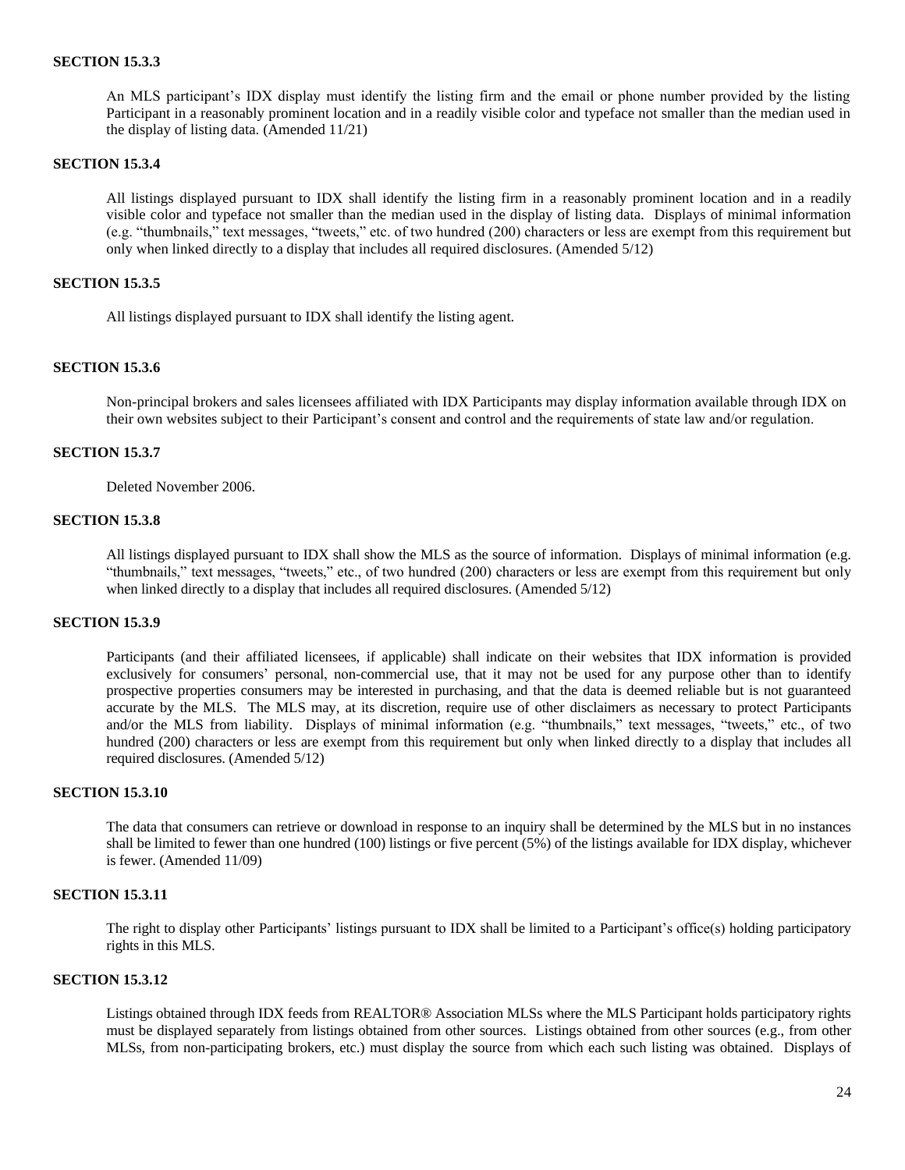#### **SECTION 15.3.3**

An MLS participant's IDX display must identify the listing firm and the email or phone number provided by the listing Participant in a reasonably prominent location and in a readily visible color and typeface not smaller than the median used in the display of listing data. (Amended 11/21)

#### **SECTION 15.3.4**

All listings displayed pursuant to IDX shall identify the listing firm in a reasonably prominent location and in a readily visible color and typeface not smaller than the median used in the display of listing data. Displays of minimal information (e.g. "thumbnails," text messages, "tweets," etc. of two hundred (200) characters or less are exempt from this requirement but only when linked directly to a display that includes all required disclosures. (Amended 5/12)

### **SECTION 15.3.5**

All listings displayed pursuant to IDX shall identify the listing agent.

#### **SECTION 15.3.6**

Non-principal brokers and sales licensees affiliated with IDX Participants may display information available through IDX on their own websites subject to their Participant's consent and control and the requirements of state law and/or regulation.

#### **SECTION 15.3.7**

Deleted November 2006.

### **SECTION 15.3.8**

All listings displayed pursuant to IDX shall show the MLS as the source of information. Displays of minimal information (e.g. "thumbnails," text messages, "tweets," etc., of two hundred (200) characters or less are exempt from this requirement but only when linked directly to a display that includes all required disclosures. (Amended 5/12)

### **SECTION 15.3.9**

Participants (and their affiliated licensees, if applicable) shall indicate on their websites that IDX information is provided exclusively for consumers' personal, non-commercial use, that it may not be used for any purpose other than to identify prospective properties consumers may be interested in purchasing, and that the data is deemed reliable but is not guaranteed accurate by the MLS. The MLS may, at its discretion, require use of other disclaimers as necessary to protect Participants and/or the MLS from liability. Displays of minimal information (e.g. "thumbnails," text messages, "tweets," etc., of two hundred (200) characters or less are exempt from this requirement but only when linked directly to a display that includes all required disclosures. (Amended 5/12)

### **SECTION 15.3.10**

The data that consumers can retrieve or download in response to an inquiry shall be determined by the MLS but in no instances shall be limited to fewer than one hundred (100) listings or five percent (5%) of the listings available for IDX display, whichever is fewer. (Amended 11/09)

### **SECTION 15.3.11**

The right to display other Participants' listings pursuant to IDX shall be limited to a Participant's office(s) holding participatory rights in this MLS.

#### **SECTION 15.3.12**

Listings obtained through IDX feeds from REALTOR® Association MLSs where the MLS Participant holds participatory rights must be displayed separately from listings obtained from other sources. Listings obtained from other sources (e.g., from other MLSs, from non-participating brokers, etc.) must display the source from which each such listing was obtained. Displays of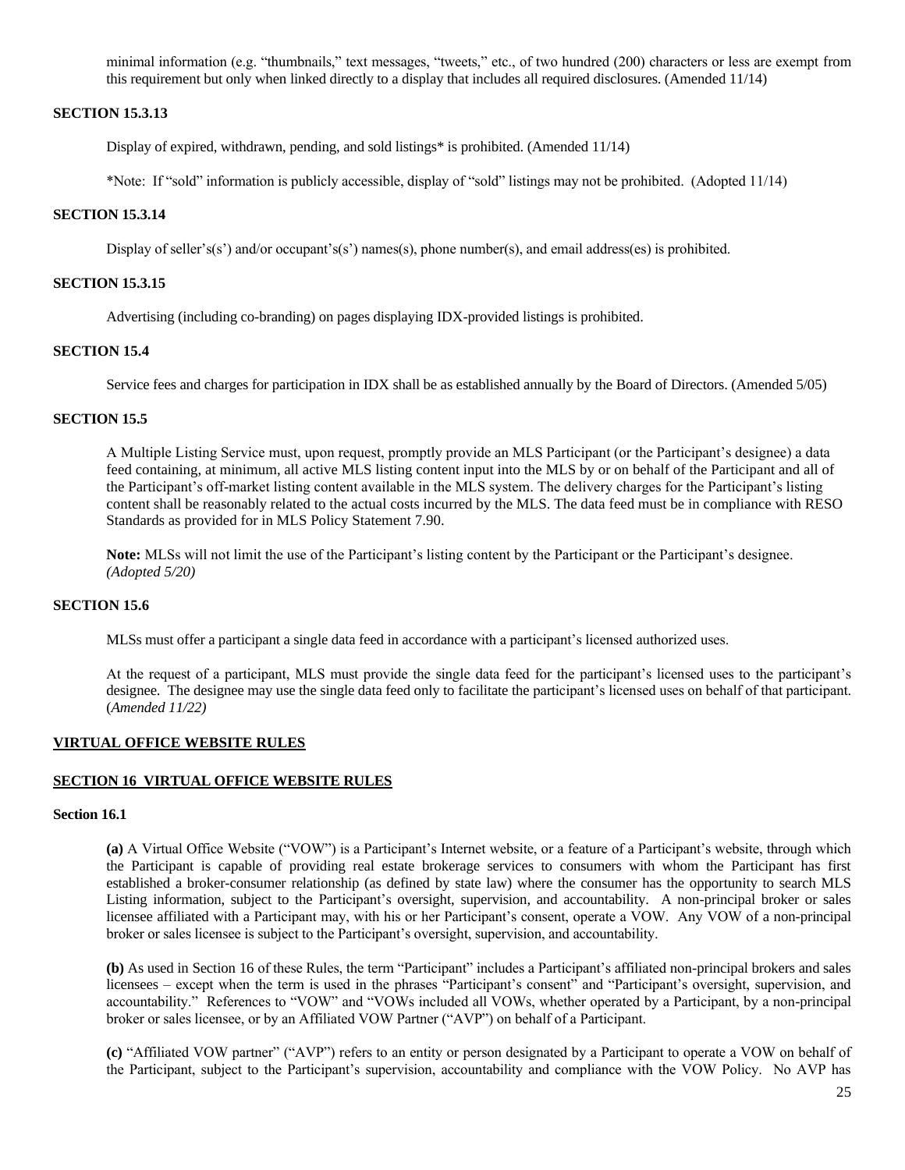minimal information (e.g. "thumbnails," text messages, "tweets," etc., of two hundred (200) characters or less are exempt from this requirement but only when linked directly to a display that includes all required disclosures. (Amended 11/14)

### **SECTION 15.3.13**

Display of expired, withdrawn, pending, and sold listings\* is prohibited. (Amended 11/14)

\*Note: If "sold" information is publicly accessible, display of "sold" listings may not be prohibited. (Adopted 11/14)

#### **SECTION 15.3.14**

Display of seller's(s') and/or occupant's(s') names(s), phone number(s), and email address(es) is prohibited.

### **SECTION 15.3.15**

Advertising (including co-branding) on pages displaying IDX-provided listings is prohibited.

### **SECTION 15.4**

Service fees and charges for participation in IDX shall be as established annually by the Board of Directors. (Amended 5/05)

### **SECTION 15.5**

A Multiple Listing Service must, upon request, promptly provide an MLS Participant (or the Participant's designee) a data feed containing, at minimum, all active MLS listing content input into the MLS by or on behalf of the Participant and all of the Participant's off-market listing content available in the MLS system. The delivery charges for the Participant's listing content shall be reasonably related to the actual costs incurred by the MLS. The data feed must be in compliance with RESO Standards as provided for in MLS Policy Statement 7.90.

**Note:** MLSs will not limit the use of the Participant's listing content by the Participant or the Participant's designee. *(Adopted 5/20)*

### **SECTION 15.6**

MLSs must offer a participant a single data feed in accordance with a participant's licensed authorized uses.

At the request of a participant, MLS must provide the single data feed for the participant's licensed uses to the participant's designee. The designee may use the single data feed only to facilitate the participant's licensed uses on behalf of that participant. (*Amended 11/22)*

### <span id="page-24-0"></span>**VIRTUAL OFFICE WEBSITE RULES**

#### **SECTION 16 VIRTUAL OFFICE WEBSITE RULES**

#### **Section 16.1**

**(a)** A Virtual Office Website ("VOW") is a Participant's Internet website, or a feature of a Participant's website, through which the Participant is capable of providing real estate brokerage services to consumers with whom the Participant has first established a broker-consumer relationship (as defined by state law) where the consumer has the opportunity to search MLS Listing information, subject to the Participant's oversight, supervision, and accountability. A non-principal broker or sales licensee affiliated with a Participant may, with his or her Participant's consent, operate a VOW. Any VOW of a non-principal broker or sales licensee is subject to the Participant's oversight, supervision, and accountability.

**(b)** As used in Section 16 of these Rules, the term "Participant" includes a Participant's affiliated non-principal brokers and sales licensees – except when the term is used in the phrases "Participant's consent" and "Participant's oversight, supervision, and accountability." References to "VOW" and "VOWs included all VOWs, whether operated by a Participant, by a non-principal broker or sales licensee, or by an Affiliated VOW Partner ("AVP") on behalf of a Participant.

**(c)** "Affiliated VOW partner" ("AVP") refers to an entity or person designated by a Participant to operate a VOW on behalf of the Participant, subject to the Participant's supervision, accountability and compliance with the VOW Policy. No AVP has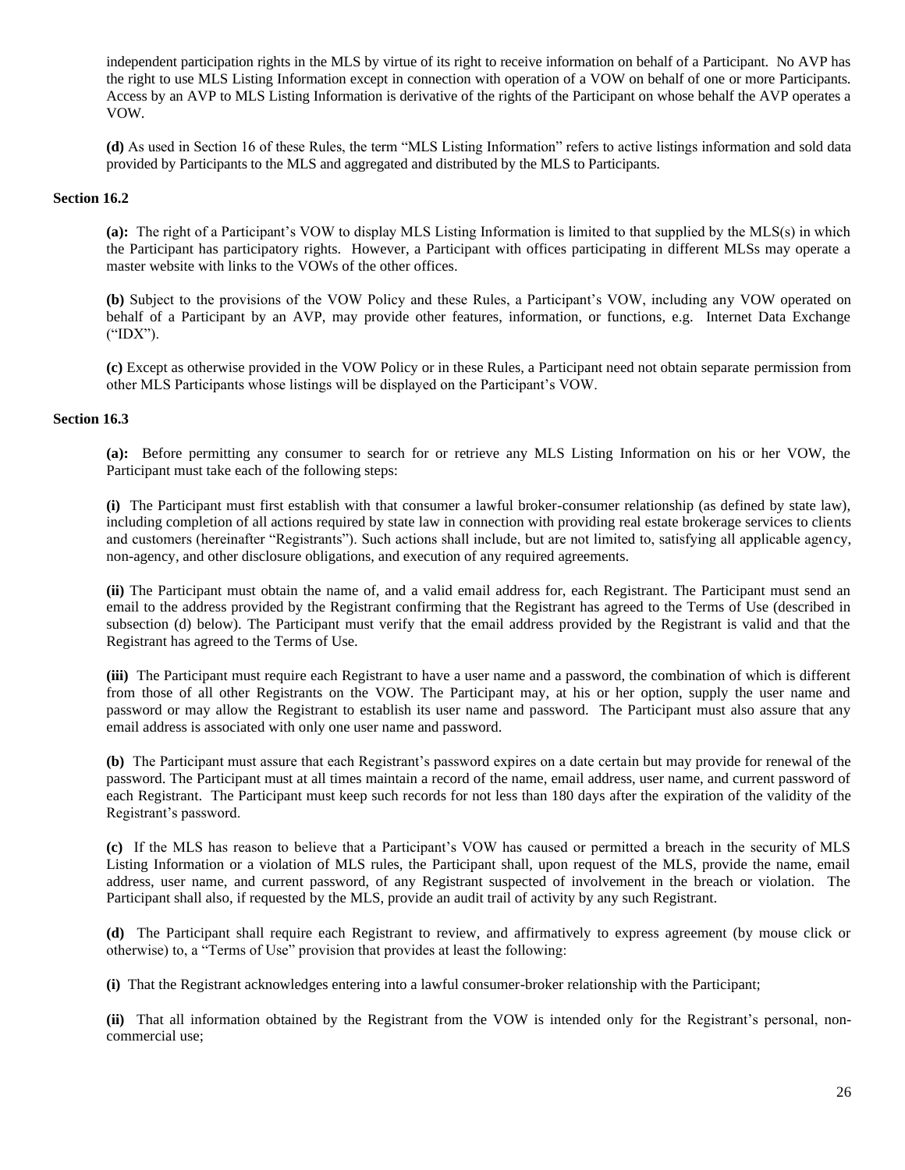independent participation rights in the MLS by virtue of its right to receive information on behalf of a Participant. No AVP has the right to use MLS Listing Information except in connection with operation of a VOW on behalf of one or more Participants. Access by an AVP to MLS Listing Information is derivative of the rights of the Participant on whose behalf the AVP operates a VOW.

**(d)** As used in Section 16 of these Rules, the term "MLS Listing Information" refers to active listings information and sold data provided by Participants to the MLS and aggregated and distributed by the MLS to Participants.

#### **Section 16.2**

**(a):** The right of a Participant's VOW to display MLS Listing Information is limited to that supplied by the MLS(s) in which the Participant has participatory rights. However, a Participant with offices participating in different MLSs may operate a master website with links to the VOWs of the other offices.

**(b)** Subject to the provisions of the VOW Policy and these Rules, a Participant's VOW, including any VOW operated on behalf of a Participant by an AVP, may provide other features, information, or functions, e.g. Internet Data Exchange ("IDX").

**(c)** Except as otherwise provided in the VOW Policy or in these Rules, a Participant need not obtain separate permission from other MLS Participants whose listings will be displayed on the Participant's VOW.

#### **Section 16.3**

**(a):** Before permitting any consumer to search for or retrieve any MLS Listing Information on his or her VOW, the Participant must take each of the following steps:

**(i)** The Participant must first establish with that consumer a lawful broker-consumer relationship (as defined by state law), including completion of all actions required by state law in connection with providing real estate brokerage services to clients and customers (hereinafter "Registrants"). Such actions shall include, but are not limited to, satisfying all applicable agency, non-agency, and other disclosure obligations, and execution of any required agreements.

**(ii)** The Participant must obtain the name of, and a valid email address for, each Registrant. The Participant must send an email to the address provided by the Registrant confirming that the Registrant has agreed to the Terms of Use (described in subsection (d) below). The Participant must verify that the email address provided by the Registrant is valid and that the Registrant has agreed to the Terms of Use.

**(iii)** The Participant must require each Registrant to have a user name and a password, the combination of which is different from those of all other Registrants on the VOW. The Participant may, at his or her option, supply the user name and password or may allow the Registrant to establish its user name and password. The Participant must also assure that any email address is associated with only one user name and password.

**(b)** The Participant must assure that each Registrant's password expires on a date certain but may provide for renewal of the password. The Participant must at all times maintain a record of the name, email address, user name, and current password of each Registrant. The Participant must keep such records for not less than 180 days after the expiration of the validity of the Registrant's password.

**(c)** If the MLS has reason to believe that a Participant's VOW has caused or permitted a breach in the security of MLS Listing Information or a violation of MLS rules, the Participant shall, upon request of the MLS, provide the name, email address, user name, and current password, of any Registrant suspected of involvement in the breach or violation. The Participant shall also, if requested by the MLS, provide an audit trail of activity by any such Registrant.

**(d)** The Participant shall require each Registrant to review, and affirmatively to express agreement (by mouse click or otherwise) to, a "Terms of Use" provision that provides at least the following:

**(i)** That the Registrant acknowledges entering into a lawful consumer-broker relationship with the Participant;

**(ii)** That all information obtained by the Registrant from the VOW is intended only for the Registrant's personal, noncommercial use;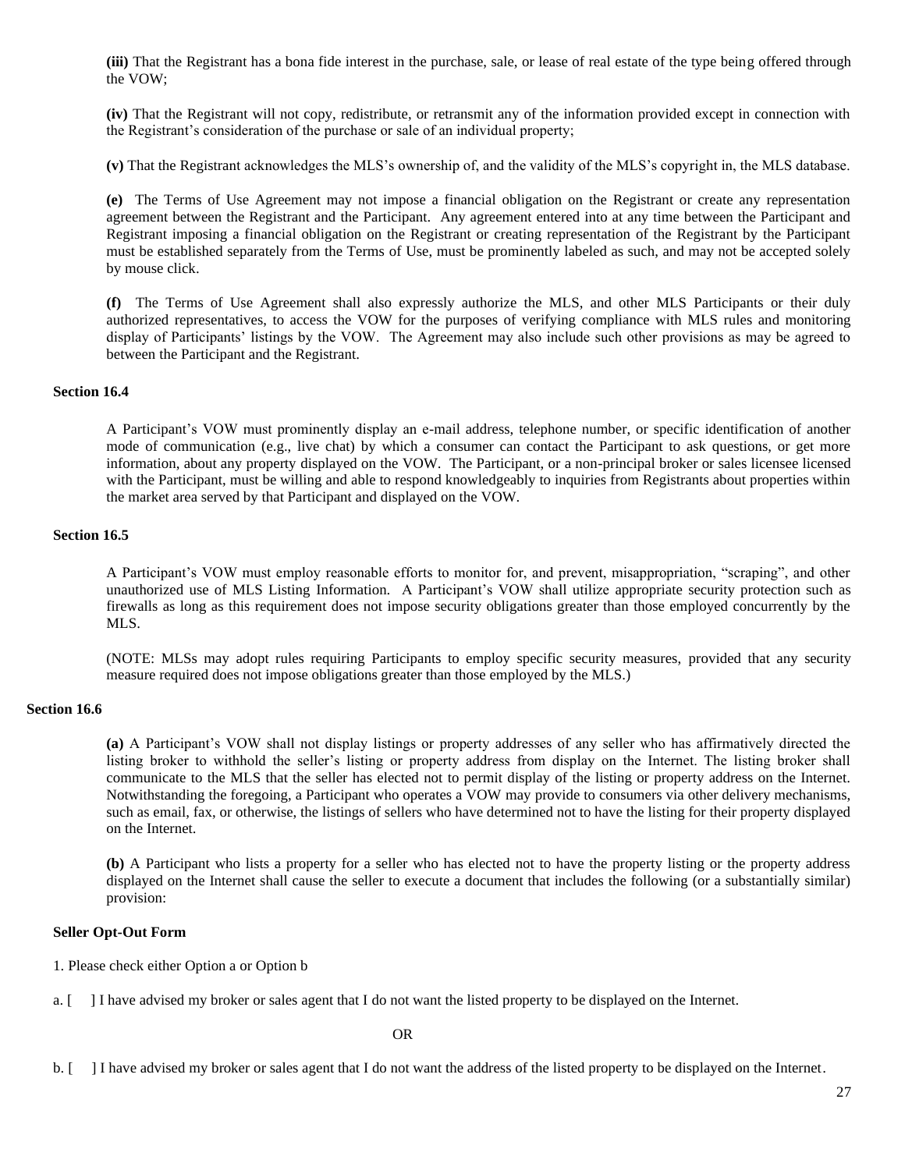**(iii)** That the Registrant has a bona fide interest in the purchase, sale, or lease of real estate of the type being offered through the VOW;

**(iv)** That the Registrant will not copy, redistribute, or retransmit any of the information provided except in connection with the Registrant's consideration of the purchase or sale of an individual property;

**(v)** That the Registrant acknowledges the MLS's ownership of, and the validity of the MLS's copyright in, the MLS database.

**(e)** The Terms of Use Agreement may not impose a financial obligation on the Registrant or create any representation agreement between the Registrant and the Participant. Any agreement entered into at any time between the Participant and Registrant imposing a financial obligation on the Registrant or creating representation of the Registrant by the Participant must be established separately from the Terms of Use, must be prominently labeled as such, and may not be accepted solely by mouse click.

**(f)** The Terms of Use Agreement shall also expressly authorize the MLS, and other MLS Participants or their duly authorized representatives, to access the VOW for the purposes of verifying compliance with MLS rules and monitoring display of Participants' listings by the VOW. The Agreement may also include such other provisions as may be agreed to between the Participant and the Registrant.

### **Section 16.4**

A Participant's VOW must prominently display an e-mail address, telephone number, or specific identification of another mode of communication (e.g., live chat) by which a consumer can contact the Participant to ask questions, or get more information, about any property displayed on the VOW. The Participant, or a non-principal broker or sales licensee licensed with the Participant, must be willing and able to respond knowledgeably to inquiries from Registrants about properties within the market area served by that Participant and displayed on the VOW.

#### **Section 16.5**

A Participant's VOW must employ reasonable efforts to monitor for, and prevent, misappropriation, "scraping", and other unauthorized use of MLS Listing Information. A Participant's VOW shall utilize appropriate security protection such as firewalls as long as this requirement does not impose security obligations greater than those employed concurrently by the MLS.

(NOTE: MLSs may adopt rules requiring Participants to employ specific security measures, provided that any security measure required does not impose obligations greater than those employed by the MLS.)

#### **Section 16.6**

**(a)** A Participant's VOW shall not display listings or property addresses of any seller who has affirmatively directed the listing broker to withhold the seller's listing or property address from display on the Internet. The listing broker shall communicate to the MLS that the seller has elected not to permit display of the listing or property address on the Internet. Notwithstanding the foregoing, a Participant who operates a VOW may provide to consumers via other delivery mechanisms, such as email, fax, or otherwise, the listings of sellers who have determined not to have the listing for their property displayed on the Internet.

**(b)** A Participant who lists a property for a seller who has elected not to have the property listing or the property address displayed on the Internet shall cause the seller to execute a document that includes the following (or a substantially similar) provision:

#### **Seller Opt-Out Form**

1. Please check either Option a or Option b

a. [ ] I have advised my broker or sales agent that I do not want the listed property to be displayed on the Internet.

OR

b. [ ] I have advised my broker or sales agent that I do not want the address of the listed property to be displayed on the Internet.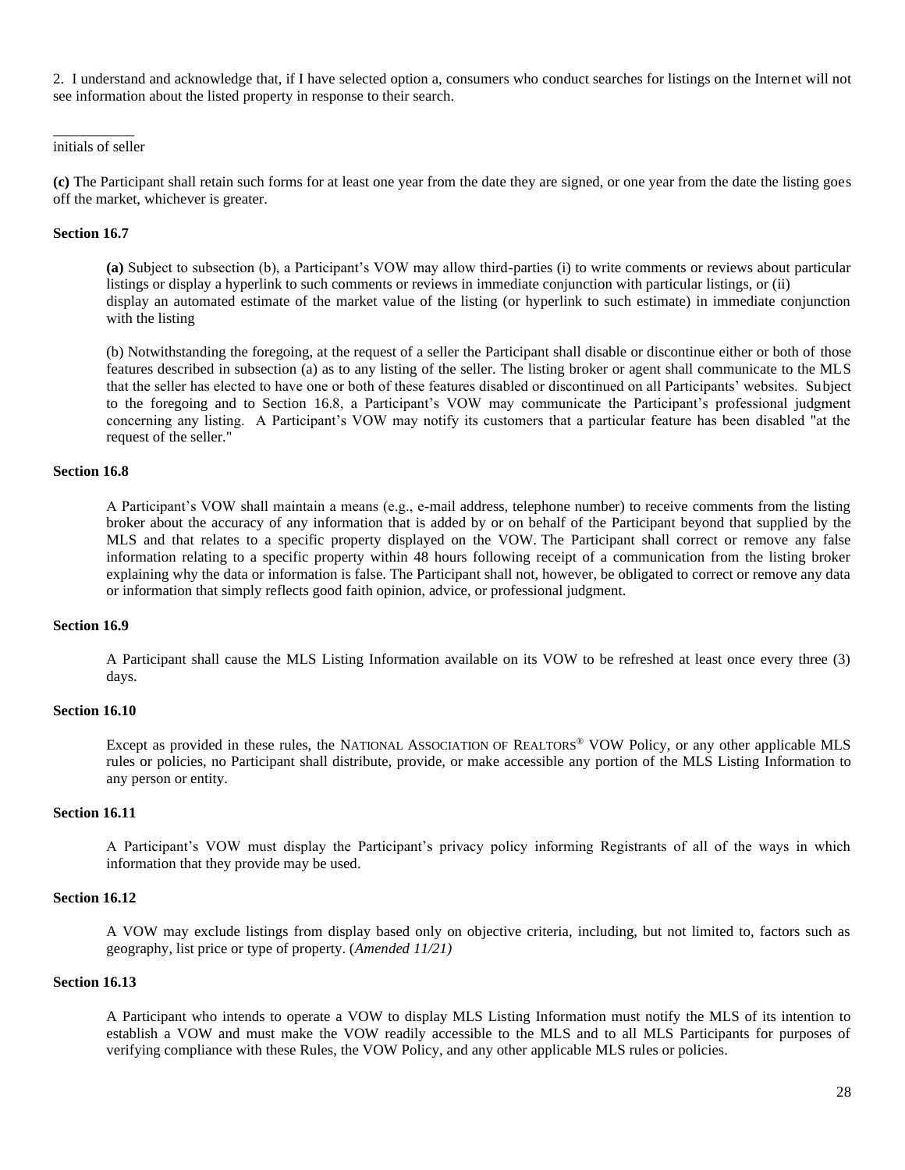2. I understand and acknowledge that, if I have selected option a, consumers who conduct searches for listings on the Internet will not see information about the listed property in response to their search.

#### $\overline{\phantom{a}}$ initials of seller

**(c)** The Participant shall retain such forms for at least one year from the date they are signed, or one year from the date the listing goes off the market, whichever is greater.

#### **Section 16.7**

**(a)** Subject to subsection (b), a Participant's VOW may allow third-parties (i) to write comments or reviews about particular listings or display a hyperlink to such comments or reviews in immediate conjunction with particular listings, or (ii) display an automated estimate of the market value of the listing (or hyperlink to such estimate) in immediate conjunction with the listing

(b) Notwithstanding the foregoing, at the request of a seller the Participant shall disable or discontinue either or both of those features described in subsection (a) as to any listing of the seller. The listing broker or agent shall communicate to the MLS that the seller has elected to have one or both of these features disabled or discontinued on all Participants' websites. Subject to the foregoing and to Section 16.8, a Participant's VOW may communicate the Participant's professional judgment concerning any listing. A Participant's VOW may notify its customers that a particular feature has been disabled "at the request of the seller."

#### **Section 16.8**

A Participant's VOW shall maintain a means (e.g., e-mail address, telephone number) to receive comments from the listing broker about the accuracy of any information that is added by or on behalf of the Participant beyond that supplied by the MLS and that relates to a specific property displayed on the VOW. The Participant shall correct or remove any false information relating to a specific property within 48 hours following receipt of a communication from the listing broker explaining why the data or information is false. The Participant shall not, however, be obligated to correct or remove any data or information that simply reflects good faith opinion, advice, or professional judgment.

#### **Section 16.9**

A Participant shall cause the MLS Listing Information available on its VOW to be refreshed at least once every three (3) days.

### **Section 16.10**

Except as provided in these rules, the NATIONAL ASSOCIATION OF REALTORS® VOW Policy, or any other applicable MLS rules or policies, no Participant shall distribute, provide, or make accessible any portion of the MLS Listing Information to any person or entity.

### **Section 16.11**

A Participant's VOW must display the Participant's privacy policy informing Registrants of all of the ways in which information that they provide may be used.

### **Section 16.12**

A VOW may exclude listings from display based only on objective criteria, including, but not limited to, factors such as geography, list price or type of property. (*Amended 11/21)*

#### **Section 16.13**

A Participant who intends to operate a VOW to display MLS Listing Information must notify the MLS of its intention to establish a VOW and must make the VOW readily accessible to the MLS and to all MLS Participants for purposes of verifying compliance with these Rules, the VOW Policy, and any other applicable MLS rules or policies.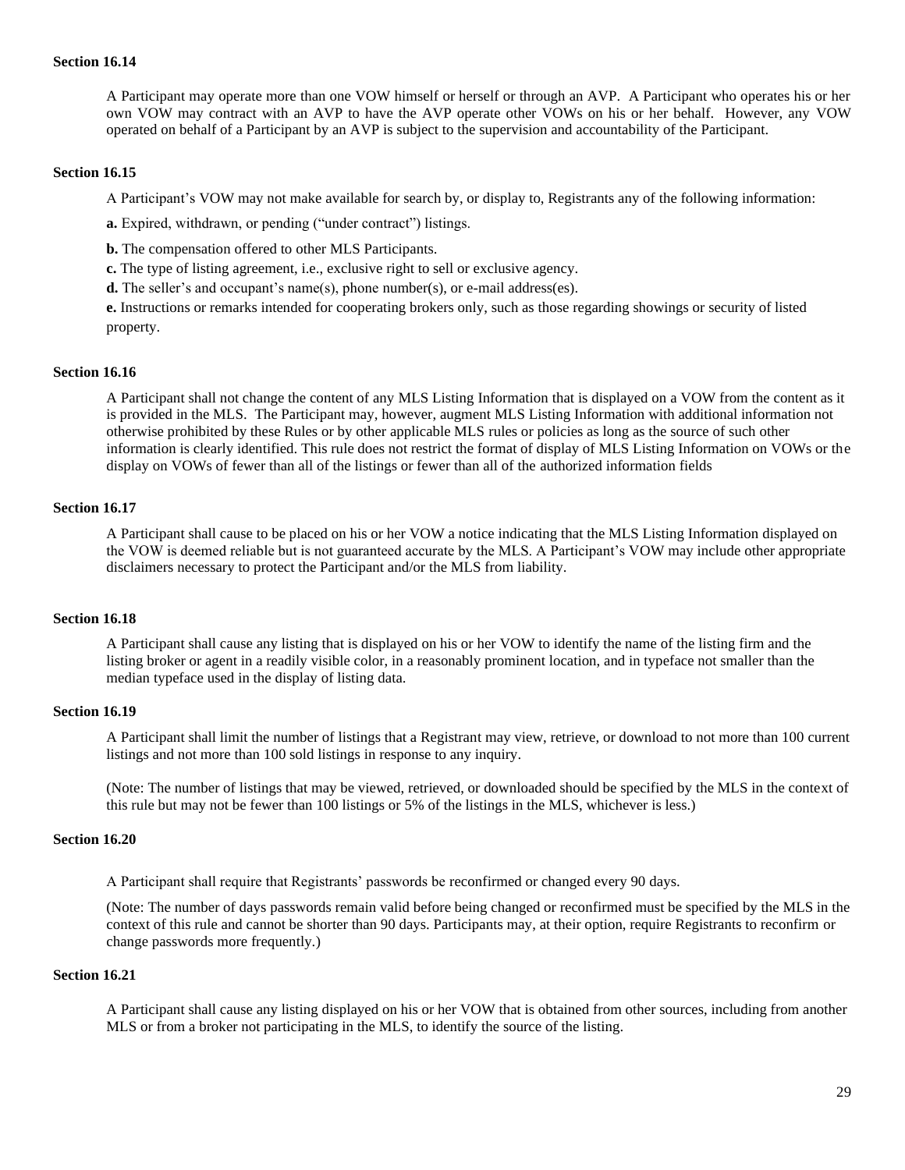### **Section 16.14**

A Participant may operate more than one VOW himself or herself or through an AVP. A Participant who operates his or her own VOW may contract with an AVP to have the AVP operate other VOWs on his or her behalf. However, any VOW operated on behalf of a Participant by an AVP is subject to the supervision and accountability of the Participant.

### **Section 16.15**

A Participant's VOW may not make available for search by, or display to, Registrants any of the following information:

**a.** Expired, withdrawn, or pending ("under contract") listings.

**b.** The compensation offered to other MLS Participants.

**c.** The type of listing agreement, i.e., exclusive right to sell or exclusive agency.

**d.** The seller's and occupant's name(s), phone number(s), or e-mail address(es).

**e.** Instructions or remarks intended for cooperating brokers only, such as those regarding showings or security of listed property.

### **Section 16.16**

A Participant shall not change the content of any MLS Listing Information that is displayed on a VOW from the content as it is provided in the MLS. The Participant may, however, augment MLS Listing Information with additional information not otherwise prohibited by these Rules or by other applicable MLS rules or policies as long as the source of such other information is clearly identified. This rule does not restrict the format of display of MLS Listing Information on VOWs or the display on VOWs of fewer than all of the listings or fewer than all of the authorized information fields

### **Section 16.17**

A Participant shall cause to be placed on his or her VOW a notice indicating that the MLS Listing Information displayed on the VOW is deemed reliable but is not guaranteed accurate by the MLS. A Participant's VOW may include other appropriate disclaimers necessary to protect the Participant and/or the MLS from liability.

### **Section 16.18**

A Participant shall cause any listing that is displayed on his or her VOW to identify the name of the listing firm and the listing broker or agent in a readily visible color, in a reasonably prominent location, and in typeface not smaller than the median typeface used in the display of listing data.

### **Section 16.19**

A Participant shall limit the number of listings that a Registrant may view, retrieve, or download to not more than 100 current listings and not more than 100 sold listings in response to any inquiry.

(Note: The number of listings that may be viewed, retrieved, or downloaded should be specified by the MLS in the context of this rule but may not be fewer than 100 listings or 5% of the listings in the MLS, whichever is less.)

### **Section 16.20**

A Participant shall require that Registrants' passwords be reconfirmed or changed every 90 days.

(Note: The number of days passwords remain valid before being changed or reconfirmed must be specified by the MLS in the context of this rule and cannot be shorter than 90 days. Participants may, at their option, require Registrants to reconfirm or change passwords more frequently.)

# **Section 16.21**

A Participant shall cause any listing displayed on his or her VOW that is obtained from other sources, including from another MLS or from a broker not participating in the MLS, to identify the source of the listing.